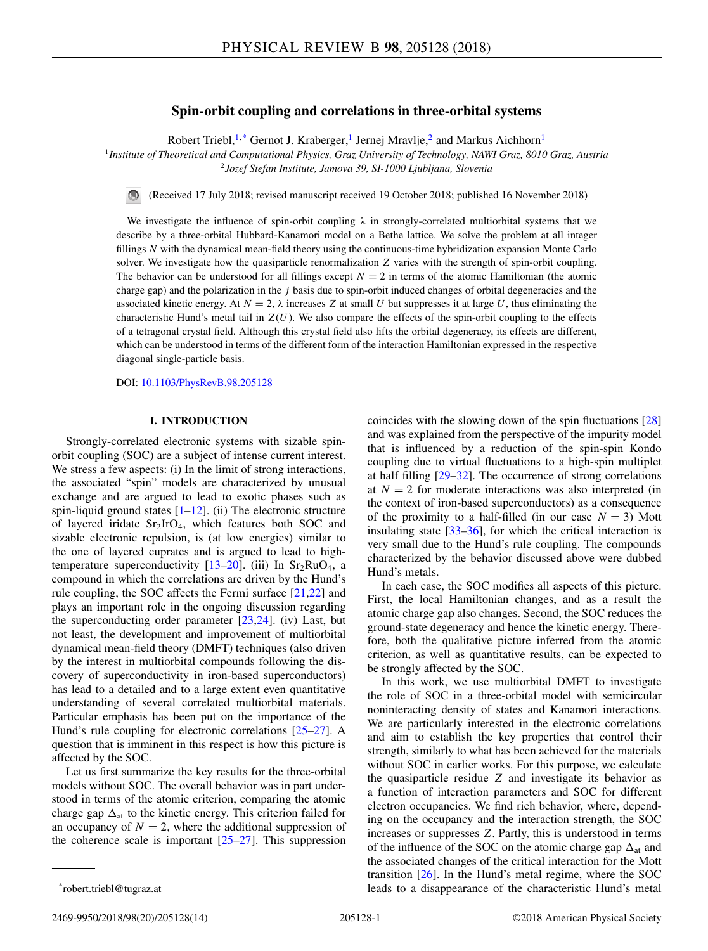# **Spin-orbit coupling and correlations in three-orbital systems**

Robert Triebl,<sup>1,\*</sup> Gernot J. Kraberger,<sup>1</sup> Jernej Mravlje,<sup>2</sup> and Markus Aichhorn<sup>1</sup>

<sup>1</sup>*Institute of Theoretical and Computational Physics, Graz University of Technology, NAWI Graz, 8010 Graz, Austria* <sup>2</sup>*Jozef Stefan Institute, Jamova 39, SI-1000 Ljubljana, Slovenia*

(Received 17 July 2018; revised manuscript received 19 October 2018; published 16 November 2018)

We investigate the influence of spin-orbit coupling  $\lambda$  in strongly-correlated multiorbital systems that we describe by a three-orbital Hubbard-Kanamori model on a Bethe lattice. We solve the problem at all integer fillings *N* with the dynamical mean-field theory using the continuous-time hybridization expansion Monte Carlo solver. We investigate how the quasiparticle renormalization *Z* varies with the strength of spin-orbit coupling. The behavior can be understood for all fillings except  $N = 2$  in terms of the atomic Hamiltonian (the atomic charge gap) and the polarization in the *j* basis due to spin-orbit induced changes of orbital degeneracies and the associated kinetic energy. At  $N = 2$ ,  $\lambda$  increases *Z* at small *U* but suppresses it at large *U*, thus eliminating the characteristic Hund's metal tail in  $Z(U)$ . We also compare the effects of the spin-orbit coupling to the effects of a tetragonal crystal field. Although this crystal field also lifts the orbital degeneracy, its effects are different, which can be understood in terms of the different form of the interaction Hamiltonian expressed in the respective diagonal single-particle basis.

DOI: [10.1103/PhysRevB.98.205128](https://doi.org/10.1103/PhysRevB.98.205128)

## **I. INTRODUCTION**

Strongly-correlated electronic systems with sizable spinorbit coupling (SOC) are a subject of intense current interest. We stress a few aspects: (i) In the limit of strong interactions, the associated "spin" models are characterized by unusual exchange and are argued to lead to exotic phases such as spin-liquid ground states  $[1-12]$ . (ii) The electronic structure of layered iridate  $Sr<sub>2</sub>IrO<sub>4</sub>$ , which features both SOC and sizable electronic repulsion, is (at low energies) similar to the one of layered cuprates and is argued to lead to hightemperature superconductivity  $[13-20]$ . (iii) In Sr<sub>2</sub>RuO<sub>4</sub>, a compound in which the correlations are driven by the Hund's rule coupling, the SOC affects the Fermi surface [\[21,22\]](#page-12-0) and plays an important role in the ongoing discussion regarding the superconducting order parameter [\[23,24\]](#page-12-0). (iv) Last, but not least, the development and improvement of multiorbital dynamical mean-field theory (DMFT) techniques (also driven by the interest in multiorbital compounds following the discovery of superconductivity in iron-based superconductors) has lead to a detailed and to a large extent even quantitative understanding of several correlated multiorbital materials. Particular emphasis has been put on the importance of the Hund's rule coupling for electronic correlations [\[25–27\]](#page-12-0). A question that is imminent in this respect is how this picture is affected by the SOC.

Let us first summarize the key results for the three-orbital models without SOC. The overall behavior was in part understood in terms of the atomic criterion, comparing the atomic charge gap  $\Delta_{at}$  to the kinetic energy. This criterion failed for an occupancy of  $N = 2$ , where the additional suppression of the coherence scale is important  $[25-27]$ . This suppression coincides with the slowing down of the spin fluctuations [\[28\]](#page-12-0) and was explained from the perspective of the impurity model that is influenced by a reduction of the spin-spin Kondo coupling due to virtual fluctuations to a high-spin multiplet at half filling [\[29–32\]](#page-12-0). The occurrence of strong correlations at  $N = 2$  for moderate interactions was also interpreted (in the context of iron-based superconductors) as a consequence of the proximity to a half-filled (in our case  $N = 3$ ) Mott insulating state [\[33–36\]](#page-12-0), for which the critical interaction is very small due to the Hund's rule coupling. The compounds characterized by the behavior discussed above were dubbed Hund's metals.

In each case, the SOC modifies all aspects of this picture. First, the local Hamiltonian changes, and as a result the atomic charge gap also changes. Second, the SOC reduces the ground-state degeneracy and hence the kinetic energy. Therefore, both the qualitative picture inferred from the atomic criterion, as well as quantitative results, can be expected to be strongly affected by the SOC.

In this work, we use multiorbital DMFT to investigate the role of SOC in a three-orbital model with semicircular noninteracting density of states and Kanamori interactions. We are particularly interested in the electronic correlations and aim to establish the key properties that control their strength, similarly to what has been achieved for the materials without SOC in earlier works. For this purpose, we calculate the quasiparticle residue *Z* and investigate its behavior as a function of interaction parameters and SOC for different electron occupancies. We find rich behavior, where, depending on the occupancy and the interaction strength, the SOC increases or suppresses *Z*. Partly, this is understood in terms of the influence of the SOC on the atomic charge gap  $\Delta_{at}$  and the associated changes of the critical interaction for the Mott transition  $[26]$ . In the Hund's metal regime, where the SOC leads to a disappearance of the characteristic Hund's metal

<sup>\*</sup>robert.triebl@tugraz.at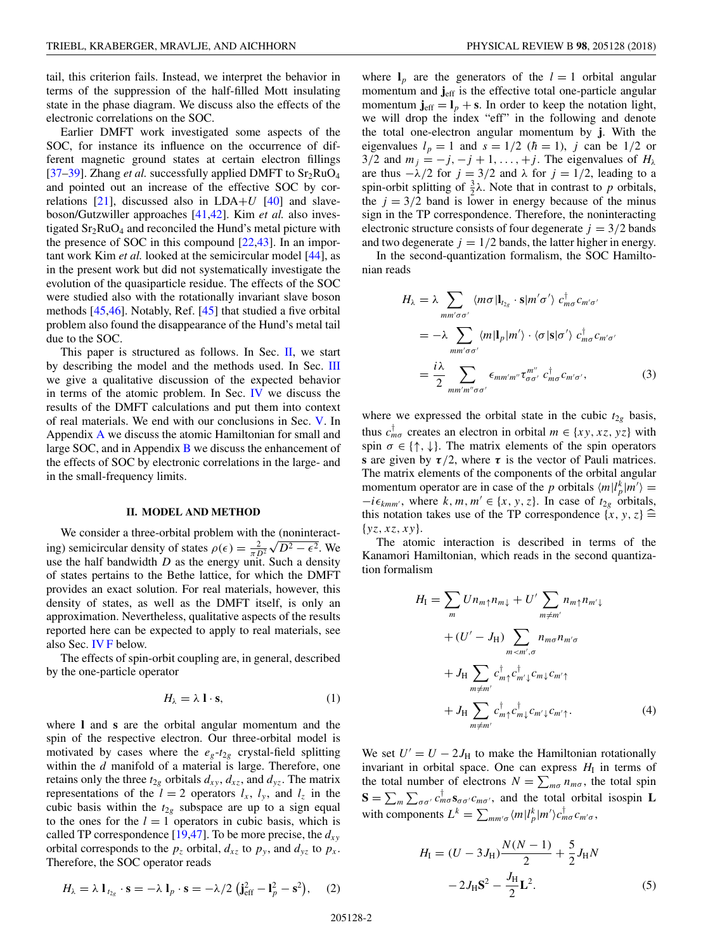<span id="page-1-0"></span>tail, this criterion fails. Instead, we interpret the behavior in terms of the suppression of the half-filled Mott insulating state in the phase diagram. We discuss also the effects of the electronic correlations on the SOC.

Earlier DMFT work investigated some aspects of the SOC, for instance its influence on the occurrence of different magnetic ground states at certain electron fillings [\[37–39\]](#page-12-0). Zhang *et al.* successfully applied DMFT to  $Sr<sub>2</sub>RuO<sub>4</sub>$ and pointed out an increase of the effective SOC by correlations  $[21]$ , discussed also in LDA+ $U$   $[40]$  and slaveboson/Gutzwiller approaches [\[41,42\]](#page-12-0). Kim *et al.* also investigated  $Sr<sub>2</sub>RuO<sub>4</sub>$  and reconciled the Hund's metal picture with the presence of SOC in this compound [\[22,43\]](#page-12-0). In an important work Kim *et al.* looked at the semicircular model [\[44\]](#page-12-0), as in the present work but did not systematically investigate the evolution of the quasiparticle residue. The effects of the SOC were studied also with the rotationally invariant slave boson methods [\[45,46\]](#page-12-0). Notably, Ref. [\[45\]](#page-12-0) that studied a five orbital problem also found the disappearance of the Hund's metal tail due to the SOC.

This paper is structured as follows. In Sec. II, we start by describing the model and the methods used. In Sec. [III](#page-2-0) we give a qualitative discussion of the expected behavior in terms of the atomic problem. In Sec. [IV](#page-3-0) we discuss the results of the DMFT calculations and put them into context of real materials. We end with our conclusions in Sec. [V.](#page-9-0) In Appendix [A](#page-9-0) we discuss the atomic Hamiltonian for small and large SOC, and in Appendix  $\bf{B}$  $\bf{B}$  $\bf{B}$  we discuss the enhancement of the effects of SOC by electronic correlations in the large- and in the small-frequency limits.

#### **II. MODEL AND METHOD**

We consider a three-orbital problem with the (noninteractwe consider a time-orbital problem with the (noninteracting) semicircular density of states  $\rho(\epsilon) = \frac{2}{\pi D^2} \sqrt{D^2 - \epsilon^2}$ . We use the half bandwidth *D* as the energy unit. Such a density of states pertains to the Bethe lattice, for which the DMFT provides an exact solution. For real materials, however, this density of states, as well as the DMFT itself, is only an approximation. Nevertheless, qualitative aspects of the results reported here can be expected to apply to real materials, see also Sec. [IV F](#page-8-0) below.

The effects of spin-orbit coupling are, in general, described by the one-particle operator

$$
H_{\lambda} = \lambda \mathbf{1} \cdot \mathbf{s},\tag{1}
$$

where **l** and **s** are the orbital angular momentum and the spin of the respective electron. Our three-orbital model is motivated by cases where the  $e_g-t_{2g}$  crystal-field splitting within the *d* manifold of a material is large. Therefore, one retains only the three  $t_{2g}$  orbitals  $d_{xy}$ ,  $d_{xz}$ , and  $d_{yz}$ . The matrix representations of the  $l = 2$  operators  $l_x$ ,  $l_y$ , and  $l_z$  in the cubic basis within the  $t_{2g}$  subspace are up to a sign equal to the ones for the  $l = 1$  operators in cubic basis, which is called TP correspondence  $[19,47]$ . To be more precise, the  $d_{xy}$ orbital corresponds to the  $p_z$  orbital,  $d_{xz}$  to  $p_y$ , and  $d_{yz}$  to  $p_x$ . Therefore, the SOC operator reads

$$
H_{\lambda} = \lambda \mathbf{1}_{t_{2g}} \cdot \mathbf{s} = -\lambda \mathbf{1}_p \cdot \mathbf{s} = -\lambda/2 \left( \mathbf{j}_{\text{eff}}^2 - \mathbf{1}_p^2 - \mathbf{s}^2 \right), \quad (2)
$$

where  $I_p$  are the generators of the  $l = 1$  orbital angular momentum and  $\mathbf{j}_{\text{eff}}$  is the effective total one-particle angular momentum  $\mathbf{j}_{\text{eff}} = \mathbf{l}_p + \mathbf{s}$ . In order to keep the notation light, we will drop the index "eff" in the following and denote the total one-electron angular momentum by **j**. With the eigenvalues  $l_p = 1$  and  $s = 1/2$  ( $\hbar = 1$ ), *j* can be 1/2 or  $3/2$  and  $m_j = -j, -j + 1, \ldots, +j$ . The eigenvalues of  $H_\lambda$ are thus  $-\lambda/2$  for  $j = 3/2$  and  $\lambda$  for  $j = 1/2$ , leading to a spin-orbit splitting of  $\frac{3}{2}\lambda$ . Note that in contrast to *p* orbitals, the  $j = 3/2$  band is lower in energy because of the minus sign in the TP correspondence. Therefore, the noninteracting electronic structure consists of four degenerate  $j = 3/2$  bands and two degenerate  $j = 1/2$  bands, the latter higher in energy.

In the second-quantization formalism, the SOC Hamiltonian reads

$$
H_{\lambda} = \lambda \sum_{mm'\sigma\sigma'} \langle m\sigma | \mathbf{l}_{t_{2g}} \cdot \mathbf{s} | m'\sigma' \rangle \ c_{m\sigma}^{\dagger} c_{m'\sigma'}
$$
  

$$
= -\lambda \sum_{mm'\sigma\sigma'} \langle m | \mathbf{l}_p | m' \rangle \cdot \langle \sigma | \mathbf{s} | \sigma' \rangle \ c_{m\sigma}^{\dagger} c_{m'\sigma'}
$$
  

$$
= \frac{i\lambda}{2} \sum_{mm'm''\sigma\sigma'} \epsilon_{mm'm''} \tau_{\sigma\sigma'}^{m''} \ c_{m\sigma}^{\dagger} c_{m'\sigma'}, \qquad (3)
$$

where we expressed the orbital state in the cubic  $t_{2g}$  basis, thus  $c_{m\sigma}^{\dagger}$  creates an electron in orbital  $m \in \{xy, xz, yz\}$  with spin  $\sigma \in \{\uparrow, \downarrow\}$ . The matrix elements of the spin operators **s** are given by  $\tau/2$ , where  $\tau$  is the vector of Pauli matrices. The matrix elements of the components of the orbital angular momentum operator are in case of the *p* orbitals  $\langle m | l_p^k | m' \rangle =$  $-i\epsilon_{kmm'}$ , where  $k, m, m' \in \{x, y, z\}$ . In case of  $t_{2g}$  orbitals, this notation takes use of the TP correspondence  $\{x, y, z\} \triangleq$ {*yz,xz,xy*}.

The atomic interaction is described in terms of the Kanamori Hamiltonian, which reads in the second quantization formalism

$$
H_{\rm I} = \sum_{m} U n_{m\uparrow} n_{m\downarrow} + U' \sum_{m\neq m'} n_{m\uparrow} n_{m'\downarrow}
$$
  
+ 
$$
(U' - J_{\rm H}) \sum_{m < m', \sigma} n_{m\sigma} n_{m'\sigma}
$$
  
+ 
$$
J_{\rm H} \sum_{m\neq m'} c_{m\uparrow}^{\dagger} c_{m'\downarrow}^{\dagger} c_{m\downarrow} c_{m'\uparrow}
$$
  
+ 
$$
J_{\rm H} \sum_{m\neq m'} c_{m\uparrow}^{\dagger} c_{m'\downarrow}^{\dagger} c_{m'\downarrow} c_{m'\uparrow}.
$$
 (4)

We set  $U' = U - 2J_H$  to make the Hamiltonian rotationally invariant in orbital space. One can express  $H<sub>I</sub>$  in terms of the total number of electrons  $N = \sum_{m\sigma} n_{m\sigma}$ , the total spin  $S = \sum_{m} \sum_{\sigma \sigma'} c_{m\sigma}^{\dagger} s_{\sigma \sigma'} c_{m\sigma'}$ , and the total orbital isospin **L** with components  $L^k = \sum_{m m' \sigma} \langle m | l_p^k | m' \rangle c_{m \sigma}^{\dagger} c_{m' \sigma}$ ,

$$
H_{\rm I} = (U - 3J_{\rm H})\frac{N(N-1)}{2} + \frac{5}{2}J_{\rm H}N
$$

$$
-2J_{\rm H}\mathbf{S}^2 - \frac{J_{\rm H}}{2}\mathbf{L}^2.
$$
 (5)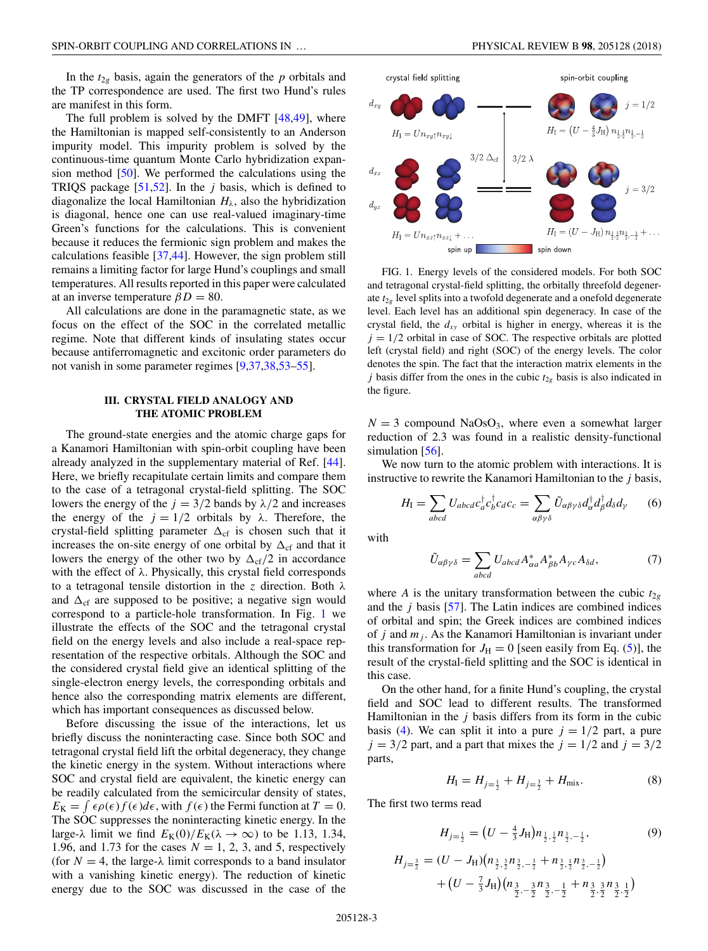<span id="page-2-0"></span>In the  $t_{2g}$  basis, again the generators of the  $p$  orbitals and the TP correspondence are used. The first two Hund's rules are manifest in this form.

The full problem is solved by the DMFT  $[48,49]$ , where the Hamiltonian is mapped self-consistently to an Anderson impurity model. This impurity problem is solved by the continuous-time quantum Monte Carlo hybridization expansion method [\[50\]](#page-12-0). We performed the calculations using the TRIQS package [\[51,52\]](#page-12-0). In the *j* basis, which is defined to diagonalize the local Hamiltonian  $H_{\lambda}$ , also the hybridization is diagonal, hence one can use real-valued imaginary-time Green's functions for the calculations. This is convenient because it reduces the fermionic sign problem and makes the calculations feasible [\[37,44\]](#page-12-0). However, the sign problem still remains a limiting factor for large Hund's couplings and small temperatures. All results reported in this paper were calculated at an inverse temperature  $\beta D = 80$ .

All calculations are done in the paramagnetic state, as we focus on the effect of the SOC in the correlated metallic regime. Note that different kinds of insulating states occur because antiferromagnetic and excitonic order parameters do not vanish in some parameter regimes [\[9,37,38,53–55\]](#page-12-0).

## **III. CRYSTAL FIELD ANALOGY AND THE ATOMIC PROBLEM**

The ground-state energies and the atomic charge gaps for a Kanamori Hamiltonian with spin-orbit coupling have been already analyzed in the supplementary material of Ref. [\[44\]](#page-12-0). Here, we briefly recapitulate certain limits and compare them to the case of a tetragonal crystal-field splitting. The SOC lowers the energy of the  $j = 3/2$  bands by  $\lambda/2$  and increases the energy of the  $j = 1/2$  orbitals by  $\lambda$ . Therefore, the crystal-field splitting parameter  $\Delta_{cf}$  is chosen such that it increases the on-site energy of one orbital by  $\Delta_{cf}$  and that it lowers the energy of the other two by  $\Delta_{cf}/2$  in accordance with the effect of *λ*. Physically, this crystal field corresponds to a tetragonal tensile distortion in the *z* direction. Both *λ* and  $\Delta_{cf}$  are supposed to be positive; a negative sign would correspond to a particle-hole transformation. In Fig. 1 we illustrate the effects of the SOC and the tetragonal crystal field on the energy levels and also include a real-space representation of the respective orbitals. Although the SOC and the considered crystal field give an identical splitting of the single-electron energy levels, the corresponding orbitals and hence also the corresponding matrix elements are different, which has important consequences as discussed below.

Before discussing the issue of the interactions, let us briefly discuss the noninteracting case. Since both SOC and tetragonal crystal field lift the orbital degeneracy, they change the kinetic energy in the system. Without interactions where SOC and crystal field are equivalent, the kinetic energy can be readily calculated from the semicircular density of states,  $E_K = \int \epsilon \rho(\epsilon) f(\epsilon) d\epsilon$ , with  $f(\epsilon)$  the Fermi function at  $T = 0$ . The SOC suppresses the noninteracting kinetic energy. In the large- $\lambda$  limit we find  $E_K(0)/E_K(\lambda \to \infty)$  to be 1.13, 1.34, 1.96, and 1.73 for the cases  $N = 1, 2, 3$ , and 5, respectively (for  $N = 4$ , the large- $\lambda$  limit corresponds to a band insulator with a vanishing kinetic energy). The reduction of kinetic energy due to the SOC was discussed in the case of the



FIG. 1. Energy levels of the considered models. For both SOC and tetragonal crystal-field splitting, the orbitally threefold degenerate  $t_{2g}$  level splits into a twofold degenerate and a onefold degenerate level. Each level has an additional spin degeneracy. In case of the crystal field, the  $d_{xy}$  orbital is higher in energy, whereas it is the  $j = 1/2$  orbital in case of SOC. The respective orbitals are plotted left (crystal field) and right (SOC) of the energy levels. The color denotes the spin. The fact that the interaction matrix elements in the *j* basis differ from the ones in the cubic  $t_{2g}$  basis is also indicated in the figure.

 $N = 3$  compound NaOsO<sub>3</sub>, where even a somewhat larger reduction of 2.3 was found in a realistic density-functional simulation [\[56\]](#page-12-0).

We now turn to the atomic problem with interactions. It is instructive to rewrite the Kanamori Hamiltonian to the *j* basis,

$$
H_{\rm I} = \sum_{abcd} U_{abcd} c_a^{\dagger} c_b^{\dagger} c_d c_c = \sum_{\alpha \beta \gamma \delta} \tilde{U}_{\alpha \beta \gamma \delta} d_{\alpha}^{\dagger} d_{\beta}^{\dagger} d_{\delta} d_{\gamma} \qquad (6)
$$

with

$$
\tilde{U}_{\alpha\beta\gamma\delta} = \sum_{abcd} U_{abcd} A^*_{\alpha a} A^*_{\beta b} A_{\gamma c} A_{\delta d},\tag{7}
$$

where *A* is the unitary transformation between the cubic  $t_{2g}$ and the *j* basis [\[57\]](#page-12-0). The Latin indices are combined indices of orbital and spin; the Greek indices are combined indices of *j* and *mj* . As the Kanamori Hamiltonian is invariant under this transformation for  $J_{\rm H} = 0$  [seen easily from Eq. [\(5\)](#page-1-0)], the result of the crystal-field splitting and the SOC is identical in this case.

On the other hand, for a finite Hund's coupling, the crystal field and SOC lead to different results. The transformed Hamiltonian in the *j* basis differs from its form in the cubic basis [\(4\)](#page-1-0). We can split it into a pure  $j = 1/2$  part, a pure  $j = 3/2$  part, and a part that mixes the  $j = 1/2$  and  $j = 3/2$ parts,

$$
H_{\rm I} = H_{j=\frac{1}{2}} + H_{j=\frac{3}{2}} + H_{\rm mix}.
$$
 (8)

The first two terms read

$$
H_{j=\frac{1}{2}} = (U - \frac{4}{3}J_{\rm H})n_{\frac{1}{2},\frac{1}{2}}n_{\frac{1}{2},-\frac{1}{2}},\tag{9}
$$

$$
H_{j=\frac{3}{2}} = (U - J_{\mathrm{H}})(n_{\frac{3}{2},\frac{3}{2}}n_{\frac{3}{2},-\frac{3}{2}} + n_{\frac{3}{2},\frac{1}{2}}n_{\frac{3}{2},-\frac{1}{2}})
$$
  
+ 
$$
(U - \frac{7}{3}J_{\mathrm{H}})(n_{\frac{3}{2},-\frac{3}{2}}n_{\frac{3}{2},-\frac{1}{2}} + n_{\frac{3}{2},\frac{3}{2}}n_{\frac{3}{2},\frac{1}{2}})
$$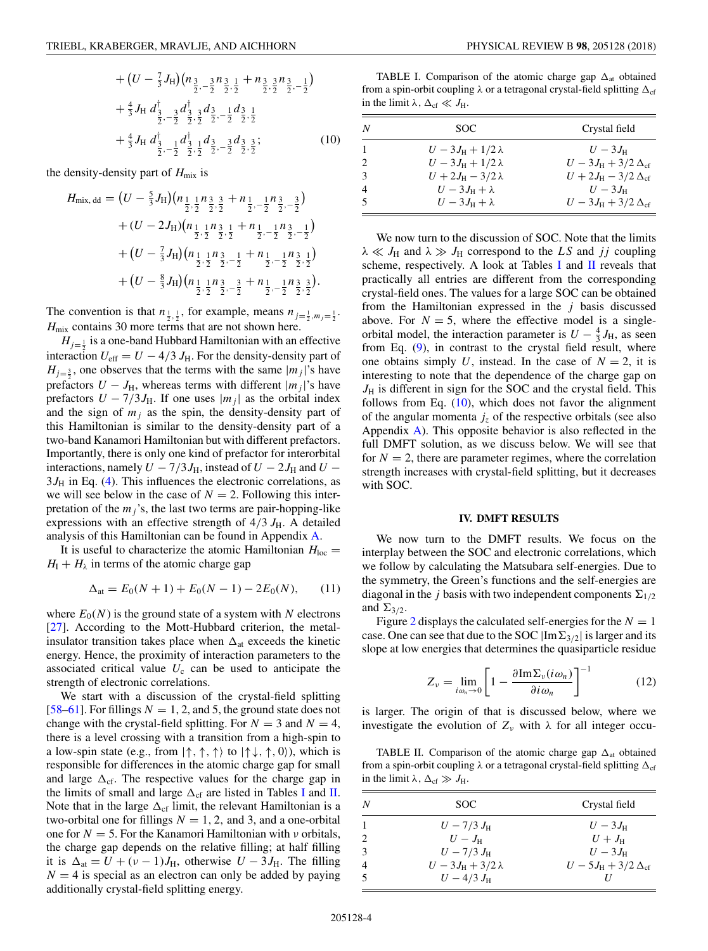<span id="page-3-0"></span>
$$
+(U - \frac{7}{3}J_{\rm H})(n_{\frac{3}{2},-\frac{3}{2}}n_{\frac{3}{2},\frac{1}{2}} + n_{\frac{3}{2},\frac{3}{2}}n_{\frac{3}{2},-\frac{1}{2}})
$$
  
+
$$
\frac{4}{3}J_{\rm H} d_{\frac{3}{2},-\frac{3}{2}} d_{\frac{3}{2},\frac{3}{2}} d_{\frac{3}{2},-\frac{1}{2}} d_{\frac{3}{2},\frac{1}{2}} d_{\frac{3}{2},\frac{1}{2}} d_{\frac{3}{2},\frac{3}{2}};
$$
  
+
$$
\frac{4}{3}J_{\rm H} d_{\frac{3}{2},-\frac{1}{2}} d_{\frac{3}{2},\frac{1}{2}} d_{\frac{3}{2},-\frac{3}{2}} d_{\frac{3}{2},\frac{3}{2}};
$$
(10)

the density-density part of  $H_{\text{mix}}$  is

$$
H_{\text{mix, dd}} = (U - \frac{5}{3}J_{\text{H}})(n_{\frac{1}{2},\frac{1}{2}}n_{\frac{3}{2},\frac{3}{2}} + n_{\frac{1}{2},-\frac{1}{2}}n_{\frac{3}{2},-\frac{3}{2}})
$$
  
+  $(U - 2J_{\text{H}})(n_{\frac{1}{2},\frac{1}{2}}n_{\frac{3}{2},\frac{1}{2}} + n_{\frac{1}{2},-\frac{1}{2}}n_{\frac{3}{2},-\frac{1}{2}})$   
+  $(U - \frac{7}{3}J_{\text{H}})(n_{\frac{1}{2},\frac{1}{2}}n_{\frac{3}{2},-\frac{1}{2}} + n_{\frac{1}{2},-\frac{1}{2}}n_{\frac{3}{2},\frac{1}{2}})$   
+  $(U - \frac{8}{3}J_{\text{H}})(n_{\frac{1}{2},\frac{1}{2}}n_{\frac{3}{2},-\frac{3}{2}} + n_{\frac{1}{2},-\frac{1}{2}}n_{\frac{3}{2},\frac{3}{2}}).$ 

The convention is that  $n_{\frac{1}{2},\frac{1}{2}}$ , for example, means  $n_{j=\frac{1}{2},m_j=\frac{1}{2}}$ . *H*<sub>mix</sub> contains 30 more terms that are not shown here.

 $H_{j=\frac{1}{2}}$  is a one-band Hubbard Hamiltonian with an effective interaction  $U_{\text{eff}} = U - 4/3 J_{\text{H}}$ . For the density-density part of  $H_{j=\frac{3}{2}}$ , one observes that the terms with the same  $|m_j|$ 's have prefactors  $U - J_H$ , whereas terms with different  $|m_j|$ 's have prefactors  $U - 7/3J_H$ . If one uses  $|m_j|$  as the orbital index and the sign of  $m_j$  as the spin, the density-density part of this Hamiltonian is similar to the density-density part of a two-band Kanamori Hamiltonian but with different prefactors. Importantly, there is only one kind of prefactor for interorbital interactions, namely  $U - 7/3J_H$ , instead of  $U - 2J_H$  and  $U 3J_H$  in Eq. [\(4\)](#page-1-0). This influences the electronic correlations, as we will see below in the case of  $N = 2$ . Following this interpretation of the  $m_j$ 's, the last two terms are pair-hopping-like expressions with an effective strength of  $4/3 J_H$ . A detailed analysis of this Hamiltonian can be found in Appendix [A.](#page-9-0)

It is useful to characterize the atomic Hamiltonian  $H_{\text{loc}} =$  $H_I + H_\lambda$  in terms of the atomic charge gap

$$
\Delta_{\text{at}} = E_0(N+1) + E_0(N-1) - 2E_0(N), \qquad (11)
$$

where  $E_0(N)$  is the ground state of a system with N electrons [\[27\]](#page-12-0). According to the Mott-Hubbard criterion, the metalinsulator transition takes place when  $\Delta_{at}$  exceeds the kinetic energy. Hence, the proximity of interaction parameters to the associated critical value  $U_c$  can be used to anticipate the strength of electronic correlations.

We start with a discussion of the crystal-field splitting [\[58–61\]](#page-12-0). For fillings  $N = 1, 2,$  and 5, the ground state does not change with the crystal-field splitting. For  $N = 3$  and  $N = 4$ , there is a level crossing with a transition from a high-spin to a low-spin state (e.g., from  $|\uparrow, \uparrow, \uparrow \rangle$  to  $|\uparrow \downarrow, \uparrow, 0 \rangle$ ), which is responsible for differences in the atomic charge gap for small and large  $\Delta_{cf}$ . The respective values for the charge gap in the limits of small and large  $\Delta_{cf}$  are listed in Tables I and II. Note that in the large  $\Delta_{cf}$  limit, the relevant Hamiltonian is a two-orbital one for fillings  $N = 1, 2,$  and 3, and a one-orbital one for *N* = 5. For the Kanamori Hamiltonian with *ν* orbitals, the charge gap depends on the relative filling; at half filling it is  $\Delta_{at} = U + (v - 1)J_H$ , otherwise  $U - 3J_H$ . The filling  $N = 4$  is special as an electron can only be added by paying additionally crystal-field splitting energy.

TABLE I. Comparison of the atomic charge gap  $\Delta_{at}$  obtained from a spin-orbit coupling  $\lambda$  or a tetragonal crystal-field splitting  $\Delta_{\text{cf}}$ in the limit  $\lambda$ ,  $\Delta_{cf} \ll J_H$ .

| N | SOC.                           | Crystal field                          |
|---|--------------------------------|----------------------------------------|
|   | $U-3J_{\rm H}+1/2\lambda$      | $U-3J_{\rm H}$                         |
|   | $U - 3J_{\rm H} + 1/2\lambda$  | $U - 3J_{\rm H} + 3/2 \Delta_{\rm cf}$ |
|   | $U + 2J_{\rm H} - 3/2 \lambda$ | $U + 2J_{\rm H} - 3/2 \Delta_{\rm cf}$ |
|   | $U-3J_{\rm H}+\lambda$         | $U-3J_{\rm H}$                         |
|   | $U-3J_{\rm H}+\lambda$         | $U - 3J_{\rm H} + 3/2 \Delta_{\rm cf}$ |

We now turn to the discussion of SOC. Note that the limits  $\lambda \ll J_H$  and  $\lambda \gg J_H$  correspond to the *LS* and *jj* coupling scheme, respectively. A look at Tables I and II reveals that practically all entries are different from the corresponding crystal-field ones. The values for a large SOC can be obtained from the Hamiltonian expressed in the *j* basis discussed above. For  $N = 5$ , where the effective model is a singleorbital model, the interaction parameter is  $U - \frac{4}{3}J_H$ , as seen from Eq. [\(9\)](#page-2-0), in contrast to the crystal field result, where one obtains simply *U*, instead. In the case of  $N = 2$ , it is interesting to note that the dependence of the charge gap on  $J_H$  is different in sign for the SOC and the crystal field. This follows from Eq.  $(10)$ , which does not favor the alignment of the angular momenta  $j_z$  of the respective orbitals (see also Appendix  $\overline{A}$ ). This opposite behavior is also reflected in the full DMFT solution, as we discuss below. We will see that for  $N = 2$ , there are parameter regimes, where the correlation strength increases with crystal-field splitting, but it decreases with SOC.

#### **IV. DMFT RESULTS**

We now turn to the DMFT results. We focus on the interplay between the SOC and electronic correlations, which we follow by calculating the Matsubara self-energies. Due to the symmetry, the Green's functions and the self-energies are diagonal in the *j* basis with two independent components  $\Sigma_{1/2}$ and  $\Sigma_{3/2}$ .

Figure [2](#page-4-0) displays the calculated self-energies for the  $N = 1$ case. One can see that due to the SOC  $|Im\Sigma_{3/2}|$  is larger and its slope at low energies that determines the quasiparticle residue

$$
Z_{\nu} = \lim_{i\omega_n \to 0} \left[ 1 - \frac{\partial \text{Im} \Sigma_{\nu} (i\omega_n)}{\partial i\omega_n} \right]^{-1} \tag{12}
$$

is larger. The origin of that is discussed below, where we investigate the evolution of  $Z_{\nu}$  with  $\lambda$  for all integer occu-

TABLE II. Comparison of the atomic charge gap  $\Delta_{at}$  obtained from a spin-orbit coupling  $\lambda$  or a tetragonal crystal-field splitting  $\Delta_{\text{cf}}$ in the limit  $\lambda$ ,  $\Delta_{cf} \gg J_H$ .

| N              | SOC.                      | Crystal field                          |
|----------------|---------------------------|----------------------------------------|
|                | $U - 7/3 J_{\rm H}$       | $U-3J_{\rm H}$                         |
|                | $U - J_{\rm H}$           | $U+J_{\rm H}$                          |
| 3              | $U - 7/3 J_{\rm H}$       | $U-3J_{\rm H}$                         |
| $\overline{4}$ | $U-3J_{\rm H}+3/2\lambda$ | $U - 5J_{\rm H} + 3/2 \Delta_{\rm cf}$ |
|                | $U - 4/3 J_{\rm H}$       |                                        |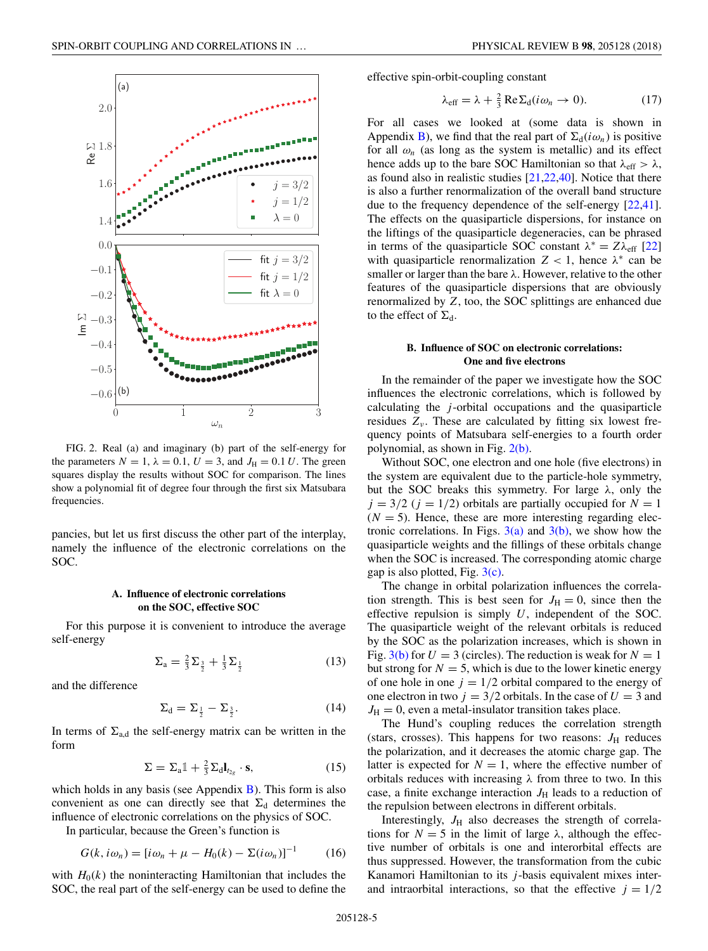<span id="page-4-0"></span>

FIG. 2. Real (a) and imaginary (b) part of the self-energy for the parameters  $N = 1$ ,  $\lambda = 0.1$ ,  $U = 3$ , and  $J_H = 0.1 U$ . The green squares display the results without SOC for comparison. The lines show a polynomial fit of degree four through the first six Matsubara frequencies.

pancies, but let us first discuss the other part of the interplay, namely the influence of the electronic correlations on the SOC.

# **A. Influence of electronic correlations on the SOC, effective SOC**

For this purpose it is convenient to introduce the average self-energy

$$
\Sigma_{\rm a} = \frac{2}{3} \Sigma_{\frac{3}{2}} + \frac{1}{3} \Sigma_{\frac{1}{2}} \tag{13}
$$

and the difference

$$
\Sigma_{\rm d} = \Sigma_{\frac{1}{2}} - \Sigma_{\frac{3}{2}}.\tag{14}
$$

In terms of  $\Sigma_{a,d}$  the self-energy matrix can be written in the form

$$
\Sigma = \Sigma_{a} \mathbb{1} + \frac{2}{3} \Sigma_{d} I_{t_{2g}} \cdot \mathbf{s}, \qquad (15)
$$

which holds in any basis (see Appendix  $\bf{B}$ ). This form is also convenient as one can directly see that  $\Sigma_d$  determines the influence of electronic correlations on the physics of SOC.

In particular, because the Green's function is

$$
G(k, i\omega_n) = [i\omega_n + \mu - H_0(k) - \Sigma(i\omega_n)]^{-1}
$$
 (16)

with  $H_0(k)$  the noninteracting Hamiltonian that includes the SOC, the real part of the self-energy can be used to define the effective spin-orbit-coupling constant

$$
\lambda_{\text{eff}} = \lambda + \frac{2}{3} \operatorname{Re} \Sigma_{\text{d}} (i\omega_n \to 0). \tag{17}
$$

For all cases we looked at (some data is shown in Appendix [B\)](#page-10-0), we find that the real part of  $\Sigma_d(i\omega_n)$  is positive for all  $\omega_n$  (as long as the system is metallic) and its effect hence adds up to the bare SOC Hamiltonian so that  $\lambda_{\text{eff}} > \lambda$ , as found also in realistic studies [\[21,22,40\]](#page-12-0). Notice that there is also a further renormalization of the overall band structure due to the frequency dependence of the self-energy [\[22,41\]](#page-12-0). The effects on the quasiparticle dispersions, for instance on the liftings of the quasiparticle degeneracies, can be phrased in terms of the quasiparticle SOC constant  $\lambda^* = Z\lambda_{\rm eff}$  [\[22\]](#page-12-0) with quasiparticle renormalization  $Z < 1$ , hence  $\lambda^*$  can be smaller or larger than the bare *λ*. However, relative to the other features of the quasiparticle dispersions that are obviously renormalized by *Z*, too, the SOC splittings are enhanced due to the effect of  $\Sigma_d$ .

## **B. Influence of SOC on electronic correlations: One and five electrons**

In the remainder of the paper we investigate how the SOC influences the electronic correlations, which is followed by calculating the *j* -orbital occupations and the quasiparticle residues  $Z_{\nu}$ . These are calculated by fitting six lowest frequency points of Matsubara self-energies to a fourth order polynomial, as shown in Fig. 2(b).

Without SOC, one electron and one hole (five electrons) in the system are equivalent due to the particle-hole symmetry, but the SOC breaks this symmetry. For large *λ*, only the  $j = 3/2$  ( $j = 1/2$ ) orbitals are partially occupied for  $N = 1$  $(N = 5)$ . Hence, these are more interesting regarding electronic correlations. In Figs.  $3(a)$  and  $3(b)$ , we show how the quasiparticle weights and the fillings of these orbitals change when the SOC is increased. The corresponding atomic charge gap is also plotted, Fig. [3\(c\).](#page-5-0)

The change in orbital polarization influences the correlation strength. This is best seen for  $J<sub>H</sub> = 0$ , since then the effective repulsion is simply *U*, independent of the SOC. The quasiparticle weight of the relevant orbitals is reduced by the SOC as the polarization increases, which is shown in Fig.  $3(b)$  for  $U = 3$  (circles). The reduction is weak for  $N = 1$ but strong for  $N = 5$ , which is due to the lower kinetic energy of one hole in one  $j = 1/2$  orbital compared to the energy of one electron in two  $j = 3/2$  orbitals. In the case of  $U = 3$  and  $J_{\rm H} = 0$ , even a metal-insulator transition takes place.

The Hund's coupling reduces the correlation strength (stars, crosses). This happens for two reasons:  $J_{\rm H}$  reduces the polarization, and it decreases the atomic charge gap. The latter is expected for  $N = 1$ , where the effective number of orbitals reduces with increasing *λ* from three to two. In this case, a finite exchange interaction  $J_H$  leads to a reduction of the repulsion between electrons in different orbitals.

Interestingly,  $J_H$  also decreases the strength of correlations for  $N = 5$  in the limit of large  $\lambda$ , although the effective number of orbitals is one and interorbital effects are thus suppressed. However, the transformation from the cubic Kanamori Hamiltonian to its *j* -basis equivalent mixes interand intraorbital interactions, so that the effective  $j = 1/2$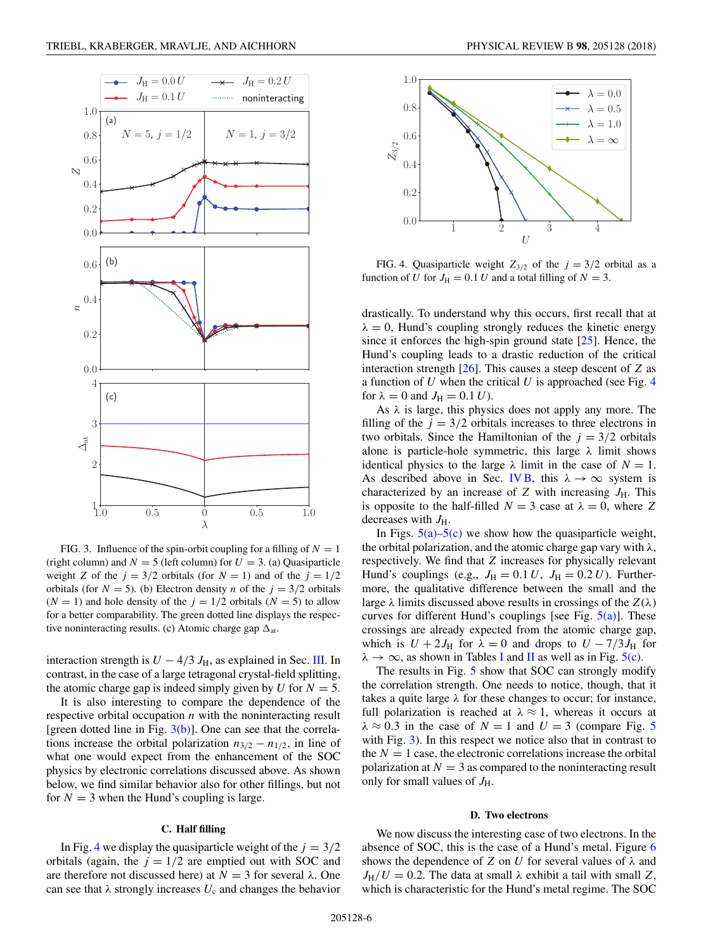<span id="page-5-0"></span>

FIG. 3. Influence of the spin-orbit coupling for a filling of  $N = 1$ (right column) and  $N = 5$  (left column) for  $U = 3$ . (a) Quasiparticle weight *Z* of the  $j = 3/2$  orbitals (for  $N = 1$ ) and of the  $j = 1/2$ orbitals (for  $N = 5$ ). (b) Electron density *n* of the  $j = 3/2$  orbitals  $(N = 1)$  and hole density of the  $j = 1/2$  orbitals  $(N = 5)$  to allow for a better comparability. The green dotted line displays the respective noninteracting results. (c) Atomic charge gap  $\Delta_{at}$ .

interaction strength is  $U - 4/3 J_H$ , as explained in Sec. [III.](#page-2-0) In contrast, in the case of a large tetragonal crystal-field splitting, the atomic charge gap is indeed simply given by *U* for  $N = 5$ .

It is also interesting to compare the dependence of the respective orbital occupation *n* with the noninteracting result [green dotted line in Fig.  $3(b)$ ]. One can see that the correlations increase the orbital polarization  $n_{3/2} - n_{1/2}$ , in line of what one would expect from the enhancement of the SOC physics by electronic correlations discussed above. As shown below, we find similar behavior also for other fillings, but not for  $N = 3$  when the Hund's coupling is large.

#### **C. Half filling**

In Fig. 4 we display the quasiparticle weight of the  $j = 3/2$ orbitals (again, the  $j = 1/2$  are emptied out with SOC and are therefore not discussed here) at  $N = 3$  for several λ. One can see that  $\lambda$  strongly increases  $U_c$  and changes the behavior



FIG. 4. Quasiparticle weight  $Z_{3/2}$  of the  $j = 3/2$  orbital as a function of *U* for  $J_H = 0.1$  *U* and a total filling of  $N = 3$ .

drastically. To understand why this occurs, first recall that at  $\lambda = 0$ , Hund's coupling strongly reduces the kinetic energy since it enforces the high-spin ground state [\[25\]](#page-12-0). Hence, the Hund's coupling leads to a drastic reduction of the critical interaction strength [\[26\]](#page-12-0). This causes a steep descent of *Z* as a function of *U* when the critical *U* is approached (see Fig. 4 for  $\lambda = 0$  and  $J_{\text{H}} = 0.1 U$ .

As *λ* is large, this physics does not apply any more. The filling of the  $j = 3/2$  orbitals increases to three electrons in two orbitals. Since the Hamiltonian of the  $j = 3/2$  orbitals alone is particle-hole symmetric, this large *λ* limit shows identical physics to the large  $\lambda$  limit in the case of  $N = 1$ . As described above in Sec. [IV B,](#page-4-0) this  $\lambda \to \infty$  system is characterized by an increase of  $Z$  with increasing  $J_H$ . This is opposite to the half-filled  $N = 3$  case at  $\lambda = 0$ , where Z decreases with  $J_{\rm H}$ .

In Figs.  $5(a)$ – $5(c)$  we show how the quasiparticle weight, the orbital polarization, and the atomic charge gap vary with *λ*, respectively. We find that *Z* increases for physically relevant Hund's couplings (e.g.,  $J_H = 0.1 U$ ,  $J_H = 0.2 U$ ). Furthermore, the qualitative difference between the small and the large  $\lambda$  limits discussed above results in crossings of the  $Z(\lambda)$ curves for different Hund's couplings [see Fig.  $5(a)$ ]. These crossings are already expected from the atomic charge gap, which is  $U + 2J_H$  for  $\lambda = 0$  and drops to  $U - 7/3J_H$  for  $\lambda \to \infty$ , as shown in Tables [I](#page-3-0) and [II](#page-3-0) as well as in Fig. [5\(c\).](#page-6-0)

The results in Fig. [5](#page-6-0) show that SOC can strongly modify the correlation strength. One needs to notice, though, that it takes a quite large *λ* for these changes to occur; for instance, full polarization is reached at  $\lambda \approx 1$ , whereas it occurs at  $\lambda \approx 0.3$  in the case of  $N = 1$  and  $U = 3$  (compare Fig. [5](#page-6-0)) with Fig. 3). In this respect we notice also that in contrast to the  $N = 1$  case, the electronic correlations increase the orbital polarization at  $N = 3$  as compared to the noninteracting result only for small values of  $J_{\rm H}$ .

#### **D. Two electrons**

We now discuss the interesting case of two electrons. In the absence of SOC, this is the case of a Hund's metal. Figure [6](#page-6-0) shows the dependence of *Z* on *U* for several values of *λ* and  $J_H/U = 0.2$ . The data at small  $\lambda$  exhibit a tail with small Z, which is characteristic for the Hund's metal regime. The SOC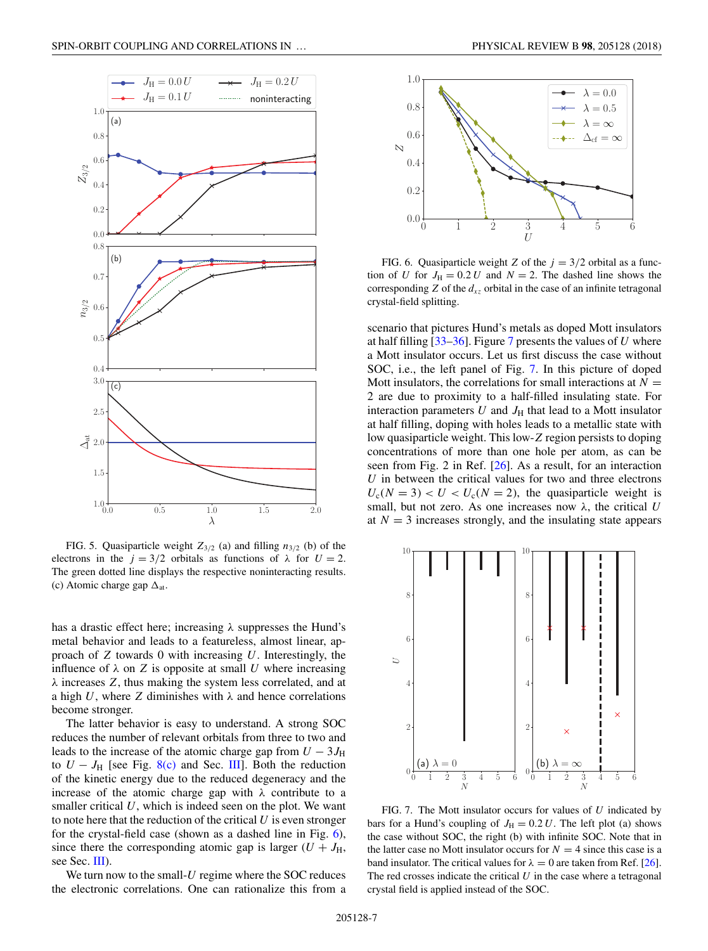<span id="page-6-0"></span>

FIG. 5. Quasiparticle weight  $Z_{3/2}$  (a) and filling  $n_{3/2}$  (b) of the electrons in the  $j = 3/2$  orbitals as functions of  $\lambda$  for  $U = 2$ . The green dotted line displays the respective noninteracting results. (c) Atomic charge gap  $\Delta_{at}$ .

has a drastic effect here; increasing *λ* suppresses the Hund's metal behavior and leads to a featureless, almost linear, approach of *Z* towards 0 with increasing *U*. Interestingly, the influence of  $\lambda$  on *Z* is opposite at small *U* where increasing *λ* increases *Z*, thus making the system less correlated, and at a high *U*, where *Z* diminishes with  $\lambda$  and hence correlations become stronger.

The latter behavior is easy to understand. A strong SOC reduces the number of relevant orbitals from three to two and leads to the increase of the atomic charge gap from  $U - 3J_H$ to  $U - J_H$  [see Fig. [8\(c\)](#page-7-0) and Sec. [III\]](#page-2-0). Both the reduction of the kinetic energy due to the reduced degeneracy and the increase of the atomic charge gap with *λ* contribute to a smaller critical *U*, which is indeed seen on the plot. We want to note here that the reduction of the critical *U* is even stronger for the crystal-field case (shown as a dashed line in Fig. 6), since there the corresponding atomic gap is larger  $(U + J_H)$ , see Sec. [III\)](#page-2-0).

We turn now to the small-*U* regime where the SOC reduces the electronic correlations. One can rationalize this from a



FIG. 6. Quasiparticle weight *Z* of the  $j = 3/2$  orbital as a function of *U* for  $J_H = 0.2 U$  and  $N = 2$ . The dashed line shows the corresponding  $Z$  of the  $d_{xz}$  orbital in the case of an infinite tetragonal crystal-field splitting.

scenario that pictures Hund's metals as doped Mott insulators at half filling [\[33–36\]](#page-12-0). Figure 7 presents the values of *U* where a Mott insulator occurs. Let us first discuss the case without SOC, i.e., the left panel of Fig. 7. In this picture of doped Mott insulators, the correlations for small interactions at  $N =$ 2 are due to proximity to a half-filled insulating state. For interaction parameters  $U$  and  $J_H$  that lead to a Mott insulator at half filling, doping with holes leads to a metallic state with low quasiparticle weight. This low-*Z* region persists to doping concentrations of more than one hole per atom, as can be seen from Fig. 2 in Ref. [\[26\]](#page-12-0). As a result, for an interaction *U* in between the critical values for two and three electrons  $U_c(N = 3) < U < U_c(N = 2)$ , the quasiparticle weight is small, but not zero. As one increases now *λ*, the critical *U* at  $N = 3$  increases strongly, and the insulating state appears



FIG. 7. The Mott insulator occurs for values of *U* indicated by bars for a Hund's coupling of  $J_H = 0.2 U$ . The left plot (a) shows the case without SOC, the right (b) with infinite SOC. Note that in the latter case no Mott insulator occurs for  $N = 4$  since this case is a band insulator. The critical values for  $\lambda = 0$  are taken from Ref. [\[26\]](#page-12-0). The red crosses indicate the critical  $U$  in the case where a tetragonal crystal field is applied instead of the SOC.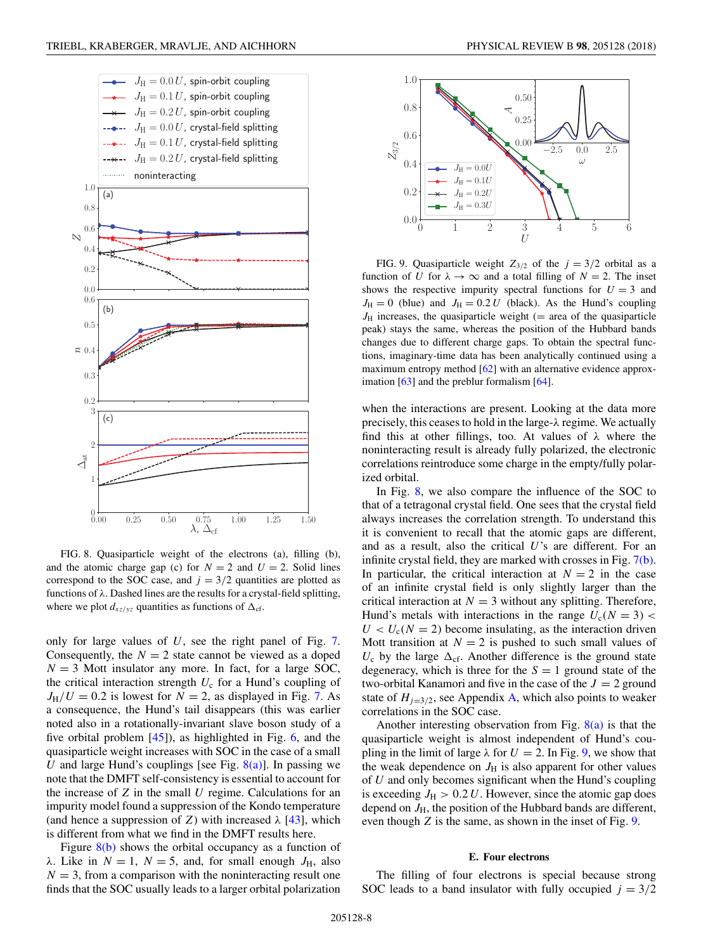<span id="page-7-0"></span>

FIG. 8. Quasiparticle weight of the electrons (a), filling (b), and the atomic charge gap (c) for  $N = 2$  and  $U = 2$ . Solid lines correspond to the SOC case, and  $j = 3/2$  quantities are plotted as functions of *λ*. Dashed lines are the results for a crystal-field splitting, where we plot  $d_{xz/yz}$  quantities as functions of  $\Delta_{cf}$ .

only for large values of *U*, see the right panel of Fig. [7.](#page-6-0) Consequently, the  $N = 2$  state cannot be viewed as a doped  $N = 3$  Mott insulator any more. In fact, for a large SOC, the critical interaction strength  $U_c$  for a Hund's coupling of  $J_H/U = 0.2$  is lowest for  $N = 2$ , as displayed in Fig. [7.](#page-6-0) As a consequence, the Hund's tail disappears (this was earlier noted also in a rotationally-invariant slave boson study of a five orbital problem [\[45\]](#page-12-0)), as highlighted in Fig. [6,](#page-6-0) and the quasiparticle weight increases with SOC in the case of a small *U* and large Hund's couplings [see Fig.  $8(a)$ ]. In passing we note that the DMFT self-consistency is essential to account for the increase of *Z* in the small *U* regime. Calculations for an impurity model found a suppression of the Kondo temperature (and hence a suppression of *Z*) with increased  $\lambda$  [\[43\]](#page-12-0), which is different from what we find in the DMFT results here.

Figure  $8(b)$  shows the orbital occupancy as a function of *λ*. Like in  $N = 1$ ,  $N = 5$ , and, for small enough  $J<sub>H</sub>$ , also  $N = 3$ , from a comparison with the noninteracting result one finds that the SOC usually leads to a larger orbital polarization



FIG. 9. Quasiparticle weight  $Z_{3/2}$  of the  $j = 3/2$  orbital as a function of *U* for  $\lambda \to \infty$  and a total filling of  $N = 2$ . The inset shows the respective impurity spectral functions for  $U = 3$  and  $J_{\text{H}} = 0$  (blue) and  $J_{\text{H}} = 0.2 U$  (black). As the Hund's coupling  $J_H$  increases, the quasiparticle weight (= area of the quasiparticle peak) stays the same, whereas the position of the Hubbard bands changes due to different charge gaps. To obtain the spectral functions, imaginary-time data has been analytically continued using a maximum entropy method [\[62\]](#page-13-0) with an alternative evidence approximation  $[63]$  and the preblur formalism  $[64]$ .

when the interactions are present. Looking at the data more precisely, this ceases to hold in the large-*λ* regime. We actually find this at other fillings, too. At values of *λ* where the noninteracting result is already fully polarized, the electronic correlations reintroduce some charge in the empty/fully polarized orbital.

In Fig. 8, we also compare the influence of the SOC to that of a tetragonal crystal field. One sees that the crystal field always increases the correlation strength. To understand this it is convenient to recall that the atomic gaps are different, and as a result, also the critical *U*'s are different. For an infinite crystal field, they are marked with crosses in Fig. [7\(b\).](#page-6-0) In particular, the critical interaction at  $N = 2$  in the case of an infinite crystal field is only slightly larger than the critical interaction at  $N = 3$  without any splitting. Therefore, Hund's metals with interactions in the range  $U_c(N = 3)$  $U < U_c$ (*N* = 2) become insulating, as the interaction driven Mott transition at  $N = 2$  is pushed to such small values of  $U_c$  by the large  $\Delta_{cf}$ . Another difference is the ground state degeneracy, which is three for the  $S = 1$  ground state of the two-orbital Kanamori and five in the case of the  $J = 2$  ground state of  $H_{j=3/2}$ , see Appendix [A,](#page-9-0) which also points to weaker correlations in the SOC case.

Another interesting observation from Fig.  $8(a)$  is that the quasiparticle weight is almost independent of Hund's coupling in the limit of large  $\lambda$  for  $U = 2$ . In Fig. 9, we show that the weak dependence on  $J<sub>H</sub>$  is also apparent for other values of *U* and only becomes significant when the Hund's coupling is exceeding  $J_{\rm H} > 0.2 U$ . However, since the atomic gap does depend on  $J_{\rm H}$ , the position of the Hubbard bands are different, even though *Z* is the same, as shown in the inset of Fig. 9.

#### **E. Four electrons**

The filling of four electrons is special because strong SOC leads to a band insulator with fully occupied  $j = 3/2$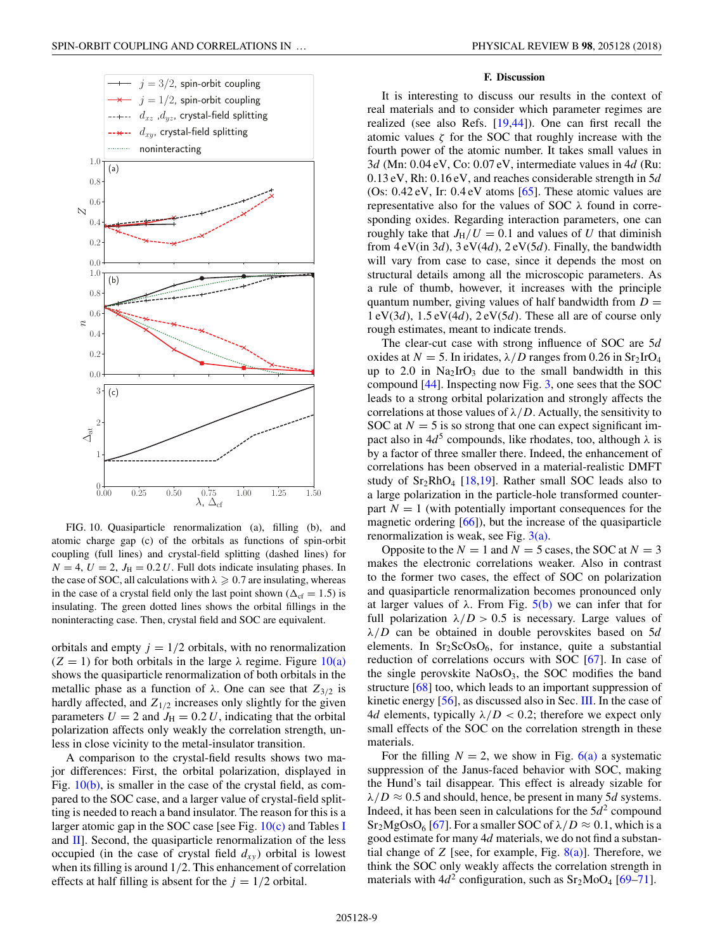<span id="page-8-0"></span>

FIG. 10. Quasiparticle renormalization (a), filling (b), and atomic charge gap (c) of the orbitals as functions of spin-orbit coupling (full lines) and crystal-field splitting (dashed lines) for  $N = 4$ ,  $U = 2$ ,  $J_H = 0.2 U$ . Full dots indicate insulating phases. In the case of SOC, all calculations with  $\lambda \geqslant 0.7$  are insulating, whereas in the case of a crystal field only the last point shown ( $\Delta_{cf} = 1.5$ ) is insulating. The green dotted lines shows the orbital fillings in the noninteracting case. Then, crystal field and SOC are equivalent.

orbitals and empty  $j = 1/2$  orbitals, with no renormalization  $(Z = 1)$  for both orbitals in the large  $\lambda$  regime. Figure  $10(a)$ shows the quasiparticle renormalization of both orbitals in the metallic phase as a function of  $\lambda$ . One can see that  $Z_{3/2}$  is hardly affected, and  $Z_{1/2}$  increases only slightly for the given parameters  $U = 2$  and  $J_H = 0.2 U$ , indicating that the orbital polarization affects only weakly the correlation strength, unless in close vicinity to the metal-insulator transition.

A comparison to the crystal-field results shows two major differences: First, the orbital polarization, displayed in Fig. 10(b), is smaller in the case of the crystal field, as compared to the SOC case, and a larger value of crystal-field splitting is needed to reach a band insulator. The reason for this is a larger atomic gap in the SOC case [see Fig.  $10(c)$  and Tables [I](#page-3-0) and  $\text{II}$ . Second, the quasiparticle renormalization of the less occupied (in the case of crystal field  $d_{xy}$ ) orbital is lowest when its filling is around 1*/*2. This enhancement of correlation effects at half filling is absent for the  $j = 1/2$  orbital.

#### **F. Discussion**

It is interesting to discuss our results in the context of real materials and to consider which parameter regimes are realized (see also Refs. [\[19,44\]](#page-12-0)). One can first recall the atomic values  $\zeta$  for the SOC that roughly increase with the fourth power of the atomic number. It takes small values in 3*d* (Mn: 0*.*04 eV, Co: 0*.*07 eV, intermediate values in 4*d* (Ru: 0*.*13 eV, Rh: 0*.*16 eV, and reaches considerable strength in 5*d* (Os: 0*.*42 eV, Ir: 0*.*4 eV atoms [\[65\]](#page-13-0). These atomic values are representative also for the values of SOC *λ* found in corresponding oxides. Regarding interaction parameters, one can roughly take that  $J_H/U = 0.1$  and values of U that diminish from 4 eV(in 3*d*), 3 eV(4*d*), 2 eV(5*d*). Finally, the bandwidth will vary from case to case, since it depends the most on structural details among all the microscopic parameters. As a rule of thumb, however, it increases with the principle quantum number, giving values of half bandwidth from  $D =$ 1 eV(3*d*), 1*.*5 eV(4*d*), 2 eV(5*d*). These all are of course only rough estimates, meant to indicate trends.

The clear-cut case with strong influence of SOC are 5*d* oxides at  $N = 5$ . In iridates,  $\lambda/D$  ranges from 0.26 in Sr<sub>2</sub>IrO<sub>4</sub> up to 2.0 in  $Na<sub>2</sub>IrO<sub>3</sub>$  due to the small bandwidth in this compound [\[44\]](#page-12-0). Inspecting now Fig. [3,](#page-5-0) one sees that the SOC leads to a strong orbital polarization and strongly affects the correlations at those values of  $\lambda/D$ . Actually, the sensitivity to SOC at  $N = 5$  is so strong that one can expect significant impact also in 4*d*<sup>5</sup> compounds, like rhodates, too, although *λ* is by a factor of three smaller there. Indeed, the enhancement of correlations has been observed in a material-realistic DMFT study of  $Sr<sub>2</sub>RhO<sub>4</sub>$  [\[18,19\]](#page-12-0). Rather small SOC leads also to a large polarization in the particle-hole transformed counterpart  $N = 1$  (with potentially important consequences for the magnetic ordering [\[66\]](#page-13-0)), but the increase of the quasiparticle renormalization is weak, see Fig.  $3(a)$ .

Opposite to the  $N = 1$  and  $N = 5$  cases, the SOC at  $N = 3$ makes the electronic correlations weaker. Also in contrast to the former two cases, the effect of SOC on polarization and quasiparticle renormalization becomes pronounced only at larger values of  $λ$ . From Fig.  $5(b)$  we can infer that for full polarization  $\lambda/D > 0.5$  is necessary. Large values of *λ/D* can be obtained in double perovskites based on 5*d* elements. In  $Sr<sub>2</sub>ScOsO<sub>6</sub>$ , for instance, quite a substantial reduction of correlations occurs with SOC [\[67\]](#page-13-0). In case of the single perovskite  $NaOsO<sub>3</sub>$ , the SOC modifies the band structure [\[68\]](#page-13-0) too, which leads to an important suppression of kinetic energy [\[56\]](#page-12-0), as discussed also in Sec. [III.](#page-2-0) In the case of 4*d* elements, typically *λ/D <* 0*.*2; therefore we expect only small effects of the SOC on the correlation strength in these materials.

For the filling  $N = 2$ , we show in Fig. [6\(a\)](#page-6-0) a systematic suppression of the Janus-faced behavior with SOC, making the Hund's tail disappear. This effect is already sizable for  $\lambda/D \approx 0.5$  and should, hence, be present in many 5*d* systems. Indeed, it has been seen in calculations for the  $5d<sup>2</sup>$  compound  $Sr<sub>2</sub>MgOsO<sub>6</sub>$  [\[67\]](#page-13-0). For a smaller SOC of  $\lambda/D \approx 0.1$ , which is a good estimate for many 4*d* materials, we do not find a substantial change of *Z* [see, for example, Fig.  $8(a)$ ]. Therefore, we think the SOC only weakly affects the correlation strength in materials with  $4d^2$  configuration, such as  $Sr_2MoO_4$  [\[69–71\]](#page-13-0).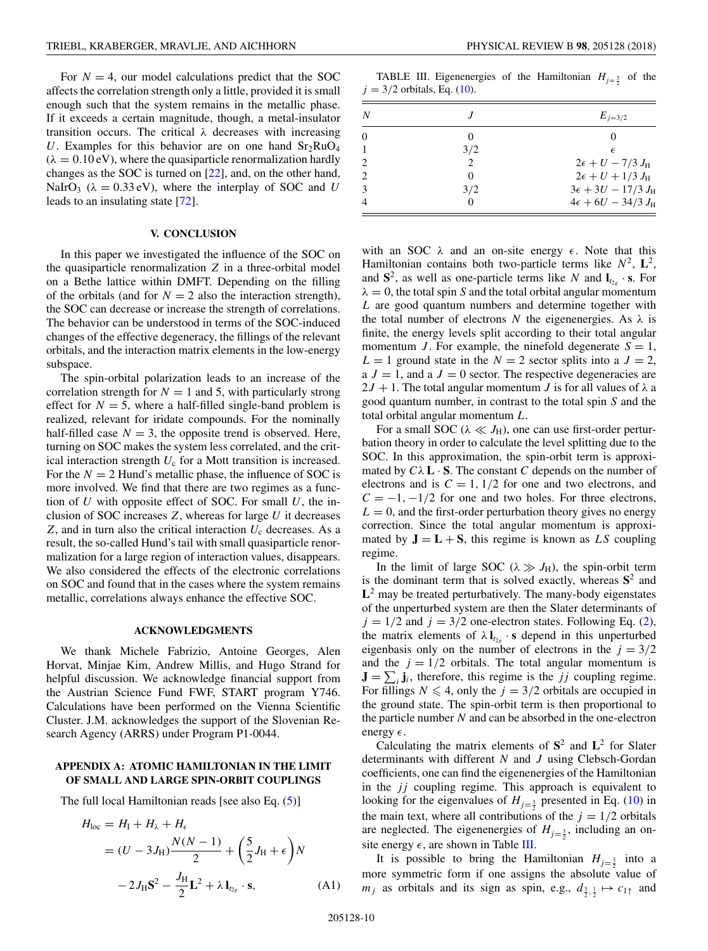<span id="page-9-0"></span>For  $N = 4$ , our model calculations predict that the SOC affects the correlation strength only a little, provided it is small enough such that the system remains in the metallic phase. If it exceeds a certain magnitude, though, a metal-insulator transition occurs. The critical *λ* decreases with increasing U. Examples for this behavior are on one hand  $Sr<sub>2</sub>RuO<sub>4</sub>$  $(\lambda = 0.10 \text{ eV})$ , where the quasiparticle renormalization hardly changes as the SOC is turned on [\[22\]](#page-12-0), and, on the other hand, NaIrO<sub>3</sub> ( $\lambda = 0.33$  eV), where the interplay of SOC and *U* leads to an insulating state [\[72\]](#page-13-0).

#### **V. CONCLUSION**

In this paper we investigated the influence of the SOC on the quasiparticle renormalization *Z* in a three-orbital model on a Bethe lattice within DMFT. Depending on the filling of the orbitals (and for  $N = 2$  also the interaction strength), the SOC can decrease or increase the strength of correlations. The behavior can be understood in terms of the SOC-induced changes of the effective degeneracy, the fillings of the relevant orbitals, and the interaction matrix elements in the low-energy subspace.

The spin-orbital polarization leads to an increase of the correlation strength for  $N = 1$  and 5, with particularly strong effect for  $N = 5$ , where a half-filled single-band problem is realized, relevant for iridate compounds. For the nominally half-filled case  $N = 3$ , the opposite trend is observed. Here, turning on SOC makes the system less correlated, and the critical interaction strength  $U_c$  for a Mott transition is increased. For the  $N = 2$  Hund's metallic phase, the influence of SOC is more involved. We find that there are two regimes as a function of *U* with opposite effect of SOC. For small *U*, the inclusion of SOC increases *Z*, whereas for large *U* it decreases  $Z$ , and in turn also the critical interaction  $U_c$  decreases. As a result, the so-called Hund's tail with small quasiparticle renormalization for a large region of interaction values, disappears. We also considered the effects of the electronic correlations on SOC and found that in the cases where the system remains metallic, correlations always enhance the effective SOC.

### **ACKNOWLEDGMENTS**

We thank Michele Fabrizio, Antoine Georges, Alen Horvat, Minjae Kim, Andrew Millis, and Hugo Strand for helpful discussion. We acknowledge financial support from the Austrian Science Fund FWF, START program Y746. Calculations have been performed on the Vienna Scientific Cluster. J.M. acknowledges the support of the Slovenian Research Agency (ARRS) under Program P1-0044.

## **APPENDIX A: ATOMIC HAMILTONIAN IN THE LIMIT OF SMALL AND LARGE SPIN-ORBIT COUPLINGS**

The full local Hamiltonian reads [see also Eq. [\(5\)](#page-1-0)]

$$
H_{loc} = H_{I} + H_{\lambda} + H_{\epsilon}
$$
  
=  $(U - 3J_{H})\frac{N(N - 1)}{2} + (\frac{5}{2}J_{H} + \epsilon)N$   
 $- 2J_{H}S^{2} - \frac{J_{H}}{2}L^{2} + \lambda I_{r_{2g}} \cdot \mathbf{s},$  (A1)

TABLE III. Eigenenergies of the Hamiltonian  $H_{j=\frac{3}{2}}$  of the  $j = 3/2$  orbitals, Eq. [\(10\)](#page-3-0).

| N                           |                               | $E_{i=3/2}$                       |
|-----------------------------|-------------------------------|-----------------------------------|
| $\Omega$                    |                               |                                   |
|                             | 3/2                           | $\epsilon$                        |
| 2                           | $\mathfrak{D}_{\mathfrak{p}}$ | $2\epsilon + U - 7/3 J_{\rm H}$   |
| $\mathcal{D}_{\mathcal{L}}$ |                               | $2\epsilon + U + 1/3 J_{\rm H}$   |
| 3                           | 3/2                           | $3\epsilon + 3U - 17/3 J_{\rm H}$ |
| $\overline{4}$              |                               | $4\epsilon + 6U - 34/3 J_{\rm H}$ |

with an SOC  $\lambda$  and an on-site energy  $\epsilon$ . Note that this Hamiltonian contains both two-particle terms like  $N^2$ ,  $\mathbf{L}^2$ , and  $S^2$ , as well as one-particle terms like *N* and  $I_{t2g} \cdot S$ . For  $\lambda = 0$ , the total spin *S* and the total orbital angular momentum *L* are good quantum numbers and determine together with the total number of electrons *N* the eigenenergies. As  $\lambda$  is finite, the energy levels split according to their total angular momentum *J*. For example, the ninefold degenerate  $S = 1$ ,  $L = 1$  ground state in the  $N = 2$  sector splits into a  $J = 2$ , a  $J = 1$ , and a  $J = 0$  sector. The respective degeneracies are  $2J + 1$ . The total angular momentum *J* is for all values of  $\lambda$  a good quantum number, in contrast to the total spin *S* and the total orbital angular momentum *L*.

For a small SOC ( $\lambda \ll J_H$ ), one can use first-order perturbation theory in order to calculate the level splitting due to the SOC. In this approximation, the spin-orbit term is approximated by  $C\lambda$  **L**  $\cdot$  **S**. The constant *C* depends on the number of electrons and is  $C = 1$ ,  $1/2$  for one and two electrons, and  $C = -1, -1/2$  for one and two holes. For three electrons,  $L = 0$ , and the first-order perturbation theory gives no energy correction. Since the total angular momentum is approximated by  $J = L + S$ , this regime is known as *LS* coupling regime.

In the limit of large SOC ( $\lambda \gg J_H$ ), the spin-orbit term is the dominant term that is solved exactly, whereas  $S^2$  and **L**<sup>2</sup> may be treated perturbatively. The many-body eigenstates of the unperturbed system are then the Slater determinants of  $j = 1/2$  and  $j = 3/2$  one-electron states. Following Eq. [\(2\)](#page-1-0), the matrix elements of  $\lambda$ **l**<sub> $t_{2g}$ </sub> · **s** depend in this unperturbed eigenbasis only on the number of electrons in the  $j = 3/2$ and the  $j = 1/2$  orbitals. The total angular momentum is  $\mathbf{J} = \sum_i \mathbf{j}_i$ , therefore, this regime is the *jj* coupling regime. For fillings  $N \leq 4$ , only the  $j = 3/2$  orbitals are occupied in the ground state. The spin-orbit term is then proportional to the particle number *N* and can be absorbed in the one-electron energy  $\epsilon$ .

Calculating the matrix elements of **S**<sup>2</sup> and **L**<sup>2</sup> for Slater determinants with different *N* and *J* using Clebsch-Gordan coefficients, one can find the eigenenergies of the Hamiltonian in the *jj* coupling regime. This approach is equivalent to looking for the eigenvalues of  $H_{j=\frac{3}{2}}$  presented in Eq. [\(10\)](#page-3-0) in the main text, where all contributions of the  $j = 1/2$  orbitals are neglected. The eigenenergies of  $H_{j=\frac{3}{2}}$ , including an onsite energy  $\epsilon$ , are shown in Table III.

It is possible to bring the Hamiltonian  $H_{j=\frac{3}{2}}$  into a more symmetric form if one assigns the absolute value of  $m_j$  as orbitals and its sign as spin, e.g.,  $d_{\frac{3}{2},\frac{1}{2}} \mapsto c_{1\uparrow}$  and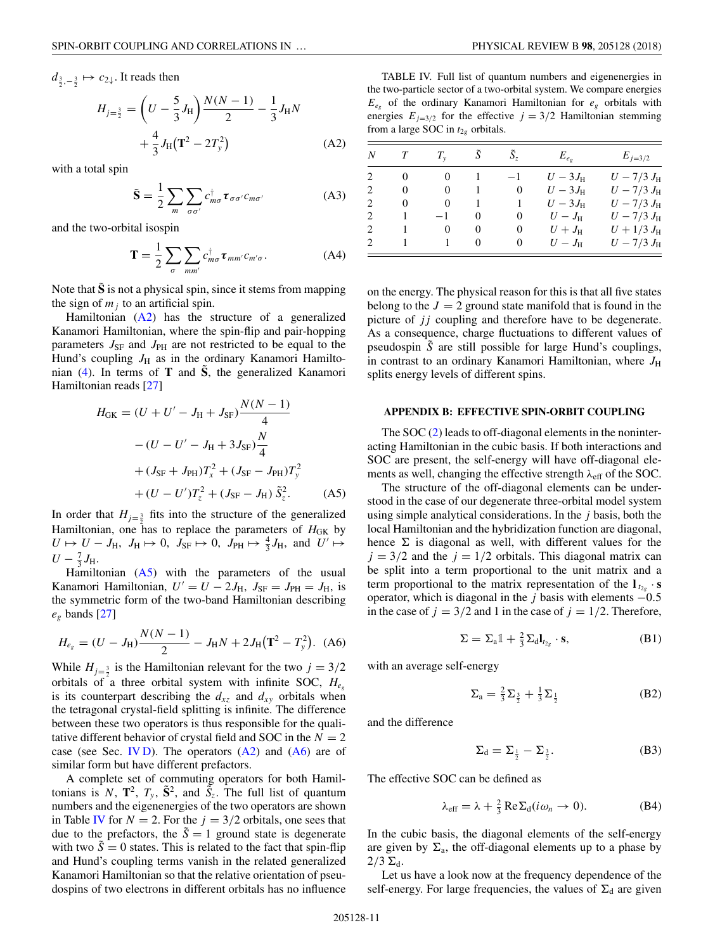<span id="page-10-0"></span> $d_{\frac{3}{2},-\frac{3}{2}} \mapsto c_{2\downarrow}$ . It reads then

$$
H_{j=\frac{3}{2}} = \left(U - \frac{5}{3}J_{\rm H}\right)\frac{N(N-1)}{2} - \frac{1}{3}J_{\rm H}N
$$

$$
+ \frac{4}{3}J_{\rm H}\left(\mathbf{T}^2 - 2T_y^2\right) \tag{A2}
$$

with a total spin

$$
\tilde{\mathbf{S}} = \frac{1}{2} \sum_{m} \sum_{\sigma \sigma'} c_{m\sigma}^{\dagger} \boldsymbol{\tau}_{\sigma \sigma'} c_{m\sigma'} \tag{A3}
$$

and the two-orbital isospin

$$
\mathbf{T} = \frac{1}{2} \sum_{\sigma} \sum_{mn'} c_{m\sigma}^{\dagger} \boldsymbol{\tau}_{mm'} c_{m'\sigma}.
$$
 (A4)

Note that  $\tilde{S}$  is not a physical spin, since it stems from mapping the sign of  $m_j$  to an artificial spin.

Hamiltonian  $(A2)$  has the structure of a generalized Kanamori Hamiltonian, where the spin-flip and pair-hopping parameters  $J_{\rm SF}$  and  $J_{\rm PH}$  are not restricted to be equal to the Hund's coupling  $J_H$  as in the ordinary Kanamori Hamiltonian  $(4)$ . In terms of **T** and  $\hat{S}$ , the generalized Kanamori Hamiltonian reads [\[27\]](#page-12-0)

$$
H_{\text{GK}} = (U + U' - J_{\text{H}} + J_{\text{SF}}) \frac{N(N - 1)}{4}
$$
  
–  $(U - U' - J_{\text{H}} + 3J_{\text{SF}}) \frac{N}{4}$   
+  $(J_{\text{SF}} + J_{\text{PH}})T_x^2 + (J_{\text{SF}} - J_{\text{PH}})T_y^2$   
+  $(U - U')T_z^2 + (J_{\text{SF}} - J_{\text{H}}) \tilde{S}_z^2$ . (A5)

In order that  $H_{j=\frac{3}{2}}$  fits into the structure of the generalized Hamiltonian, one has to replace the parameters of  $H<sub>GE</sub>$  by  $U \mapsto U - J_H$ ,  $J_H \mapsto 0$ ,  $J_{SF} \mapsto 0$ ,  $J_{PH} \mapsto \frac{4}{3} J_H$ , and  $U' \mapsto$  $U - \frac{7}{3}J_{\rm H}.$ 

Hamiltonian  $(A5)$  with the parameters of the usual Kanamori Hamiltonian,  $U' = U - 2J_H$ ,  $J_{SF} = J_{PH} = J_H$ , is the symmetric form of the two-band Hamiltonian describing *eg* bands [\[27\]](#page-12-0)

$$
H_{e_g} = (U - J_H) \frac{N(N-1)}{2} - J_H N + 2J_H(\mathbf{T}^2 - T_y^2). \tag{A6}
$$

While  $H_{j=\frac{3}{2}}$  is the Hamiltonian relevant for the two  $j = 3/2$ orbitals of a three orbital system with infinite SOC, *Heg* is its counterpart describing the  $d_{xz}$  and  $d_{xy}$  orbitals when the tetragonal crystal-field splitting is infinite. The difference between these two operators is thus responsible for the qualitative different behavior of crystal field and SOC in the  $N = 2$ case (see Sec. [IV D\)](#page-5-0). The operators  $(A2)$  and  $(A6)$  are of similar form but have different prefactors.

A complete set of commuting operators for both Hamiltonians is N,  $\mathbf{T}^2$ ,  $T_y$ ,  $\tilde{\mathbf{S}}^2$ , and  $\tilde{S}_z$ . The full list of quantum numbers and the eigenenergies of the two operators are shown in Table IV for  $N = 2$ . For the  $j = 3/2$  orbitals, one sees that due to the prefactors, the  $\tilde{S} = 1$  ground state is degenerate with two  $\tilde{S} = 0$  states. This is related to the fact that spin-flip and Hund's coupling terms vanish in the related generalized Kanamori Hamiltonian so that the relative orientation of pseudospins of two electrons in different orbitals has no influence

TABLE IV. Full list of quantum numbers and eigenenergies in the two-particle sector of a two-orbital system. We compare energies *Eeg* of the ordinary Kanamori Hamiltonian for *eg* orbitals with energies  $E_{j=3/2}$  for the effective  $j = 3/2$  Hamiltonian stemming from a large SOC in  $t_{2g}$  orbitals.

| N                             |          | $T_{\rm v}$ | S        | $S_z$    | $E_{e_{e}}$    | $E_{i=3/2}$         |
|-------------------------------|----------|-------------|----------|----------|----------------|---------------------|
|                               | $\theta$ | $\theta$    | л.       | — 1      | $U-3J_{\rm H}$ | $U - 7/3 J_{\rm H}$ |
| 2                             | $\theta$ | $\theta$    |          | $\theta$ | $U-3J_{\rm H}$ | $U - 7/3 J_{\rm H}$ |
| $\mathfrak{D}_{\mathfrak{p}}$ | $\theta$ | $\theta$    |          |          | $U-3J_{\rm H}$ | $U - 7/3 J_{\rm H}$ |
| 2                             | 1        | -1          | $\theta$ | $\theta$ | $U-J_{\rm H}$  | $U - 7/3 J_{\rm H}$ |
| $\mathcal{D}_{\mathcal{A}}$   |          | 0           | $\theta$ | $\theta$ | $U+J_{\rm H}$  | $U + 1/3 J_{\rm H}$ |
| $\mathcal{L}$                 |          |             | $\theta$ | $_{0}$   | $U-J_{\rm H}$  | $U - 7/3 J_{\rm H}$ |

on the energy. The physical reason for this is that all five states belong to the  $J = 2$  ground state manifold that is found in the picture of *jj* coupling and therefore have to be degenerate. As a consequence, charge fluctuations to different values of pseudospin *S*˜ are still possible for large Hund's couplings, in contrast to an ordinary Kanamori Hamiltonian, where  $J_{\rm H}$ splits energy levels of different spins.

### **APPENDIX B: EFFECTIVE SPIN-ORBIT COUPLING**

The SOC [\(2\)](#page-1-0) leads to off-diagonal elements in the noninteracting Hamiltonian in the cubic basis. If both interactions and SOC are present, the self-energy will have off-diagonal elements as well, changing the effective strength *λ*eff of the SOC.

The structure of the off-diagonal elements can be understood in the case of our degenerate three-orbital model system using simple analytical considerations. In the *j* basis, both the local Hamiltonian and the hybridization function are diagonal, hence  $\Sigma$  is diagonal as well, with different values for the  $j = 3/2$  and the  $j = 1/2$  orbitals. This diagonal matrix can be split into a term proportional to the unit matrix and a term proportional to the matrix representation of the  $\mathbf{l}_{t_2} \cdot \mathbf{s}$ operator, which is diagonal in the *j* basis with elements −0*.*5 in the case of  $j = 3/2$  and 1 in the case of  $j = 1/2$ . Therefore,

$$
\Sigma = \Sigma_{a} \mathbb{1} + \frac{2}{3} \Sigma_{d} \mathbf{l}_{t_{2g}} \cdot \mathbf{s}, \tag{B1}
$$

with an average self-energy

$$
\Sigma_{a} = \frac{2}{3}\Sigma_{\frac{3}{2}} + \frac{1}{3}\Sigma_{\frac{1}{2}}
$$
 (B2)

and the difference

$$
\Sigma_{\rm d} = \Sigma_{\frac{1}{2}} - \Sigma_{\frac{3}{2}}.\tag{B3}
$$

The effective SOC can be defined as

$$
\lambda_{\text{eff}} = \lambda + \frac{2}{3} \operatorname{Re} \Sigma_{\text{d}} (i\omega_n \to 0). \tag{B4}
$$

In the cubic basis, the diagonal elements of the self-energy are given by  $\Sigma_a$ , the off-diagonal elements up to a phase by  $2/3 \Sigma_d$ .

Let us have a look now at the frequency dependence of the self-energy. For large frequencies, the values of  $\Sigma_d$  are given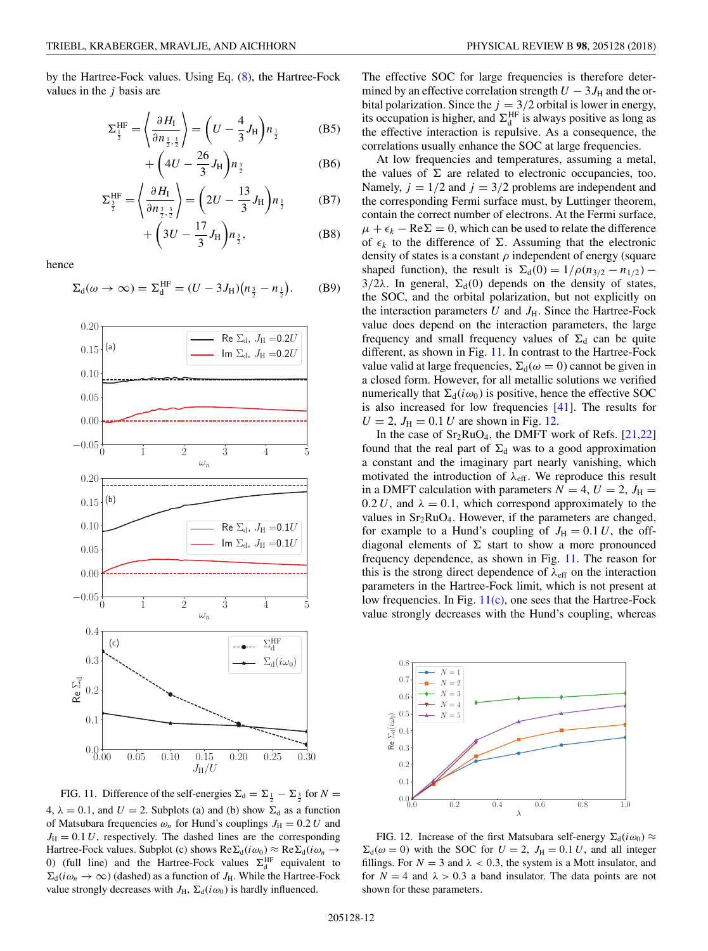by the Hartree-Fock values. Using Eq. [\(8\)](#page-2-0), the Hartree-Fock values in the *j* basis are

$$
\Sigma_{\frac{1}{2}}^{\text{HF}} = \left\langle \frac{\partial H_{\text{I}}}{\partial n_{\frac{1}{2},\frac{1}{2}}} \right\rangle = \left( U - \frac{4}{3} J_{\text{H}} \right) n_{\frac{1}{2}} \quad (B5)
$$

$$
+\left(4U-\frac{26}{3}J_{\rm H}\right)n_{\frac{3}{2}}\tag{B6}
$$

$$
\Sigma_{\frac{3}{2}}^{\text{HF}} = \left\langle \frac{\partial H_{\text{I}}}{\partial n_{\frac{3}{2},\frac{3}{2}}} \right\rangle = \left( 2U - \frac{13}{3} J_{\text{H}} \right) n_{\frac{1}{2}} \tag{B7}
$$

$$
+\bigg(3U-\frac{17}{3}J_{\rm H}\bigg)n_{\frac{3}{2}},\tag{B8}
$$

hence

$$
\Sigma_{d}(\omega \to \infty) = \Sigma_{d}^{\text{HF}} = (U - 3J_{\text{H}})(n_{\frac{3}{2}} - n_{\frac{1}{2}}). \quad (B9)
$$



FIG. 11. Difference of the self-energies  $\Sigma_d = \Sigma_{\frac{1}{2}} - \Sigma_{\frac{3}{2}}$  for  $N =$ 4,  $\lambda = 0.1$ , and  $U = 2$ . Subplots (a) and (b) show  $\Sigma_d$  as a function of Matsubara frequencies  $\omega_n$  for Hund's couplings  $J_H = 0.2 U$  and  $J_{\text{H}} = 0.1 U$ , respectively. The dashed lines are the corresponding Hartree-Fock values. Subplot (c) shows  $\text{Re}\Sigma_d(i\omega_0) \approx \text{Re}\Sigma_d(i\omega_n \rightarrow$ 0) (full line) and the Hartree-Fock values  $\Sigma_d^{\text{HF}}$  equivalent to  $\Sigma_d(i\omega_n \to \infty)$  (dashed) as a function of  $J_H$ . While the Hartree-Fock value strongly decreases with  $J_H$ ,  $\Sigma_d(i\omega_0)$  is hardly influenced.

The effective SOC for large frequencies is therefore determined by an effective correlation strength  $U - 3J_H$  and the orbital polarization. Since the  $j = 3/2$  orbital is lower in energy, its occupation is higher, and  $\Sigma_d^{\text{HF}}$  is always positive as long as the effective interaction is repulsive. As a consequence, the correlations usually enhance the SOC at large frequencies.

At low frequencies and temperatures, assuming a metal, the values of  $\Sigma$  are related to electronic occupancies, too. Namely,  $j = 1/2$  and  $j = 3/2$  problems are independent and the corresponding Fermi surface must, by Luttinger theorem, contain the correct number of electrons. At the Fermi surface,  $\mu + \epsilon_k - \text{Re}\Sigma = 0$ , which can be used to relate the difference of  $\epsilon_k$  to the difference of  $\Sigma$ . Assuming that the electronic density of states is a constant *ρ* independent of energy (square shaped function), the result is  $\Sigma_d(0) = 1/\rho(n_{3/2} - n_{1/2})$  –  $3/2\lambda$ . In general,  $\Sigma_d(0)$  depends on the density of states, the SOC, and the orbital polarization, but not explicitly on the interaction parameters  $U$  and  $J_H$ . Since the Hartree-Fock value does depend on the interaction parameters, the large frequency and small frequency values of  $\Sigma_d$  can be quite different, as shown in Fig. 11. In contrast to the Hartree-Fock value valid at large frequencies,  $\Sigma_d(\omega = 0)$  cannot be given in a closed form. However, for all metallic solutions we verified numerically that  $\Sigma_d(i\omega_0)$  is positive, hence the effective SOC is also increased for low frequencies [\[41\]](#page-12-0). The results for  $U = 2$ ,  $J_{\text{H}} = 0.1 U$  are shown in Fig. 12.

In the case of  $Sr_2RuO_4$ , the DMFT work of Refs. [\[21,22\]](#page-12-0) found that the real part of  $\Sigma_d$  was to a good approximation a constant and the imaginary part nearly vanishing, which motivated the introduction of  $\lambda_{\text{eff}}$ . We reproduce this result in a DMFT calculation with parameters  $N = 4$ ,  $U = 2$ ,  $J_H =$  $0.2 U$ , and  $\lambda = 0.1$ , which correspond approximately to the values in  $Sr<sub>2</sub>RuO<sub>4</sub>$ . However, if the parameters are changed, for example to a Hund's coupling of  $J_H = 0.1 U$ , the offdiagonal elements of  $\Sigma$  start to show a more pronounced frequency dependence, as shown in Fig. 11. The reason for this is the strong direct dependence of  $\lambda_{\text{eff}}$  on the interaction parameters in the Hartree-Fock limit, which is not present at low frequencies. In Fig. 11(c), one sees that the Hartree-Fock value strongly decreases with the Hund's coupling, whereas



FIG. 12. Increase of the first Matsubara self-energy  $\Sigma_d(i\omega_0) \approx$  $\Sigma_d(\omega = 0)$  with the SOC for  $U = 2$ ,  $J_H = 0.1 U$ , and all integer fillings. For  $N = 3$  and  $\lambda < 0.3$ , the system is a Mott insulator, and for  $N = 4$  and  $\lambda > 0.3$  a band insulator. The data points are not shown for these parameters.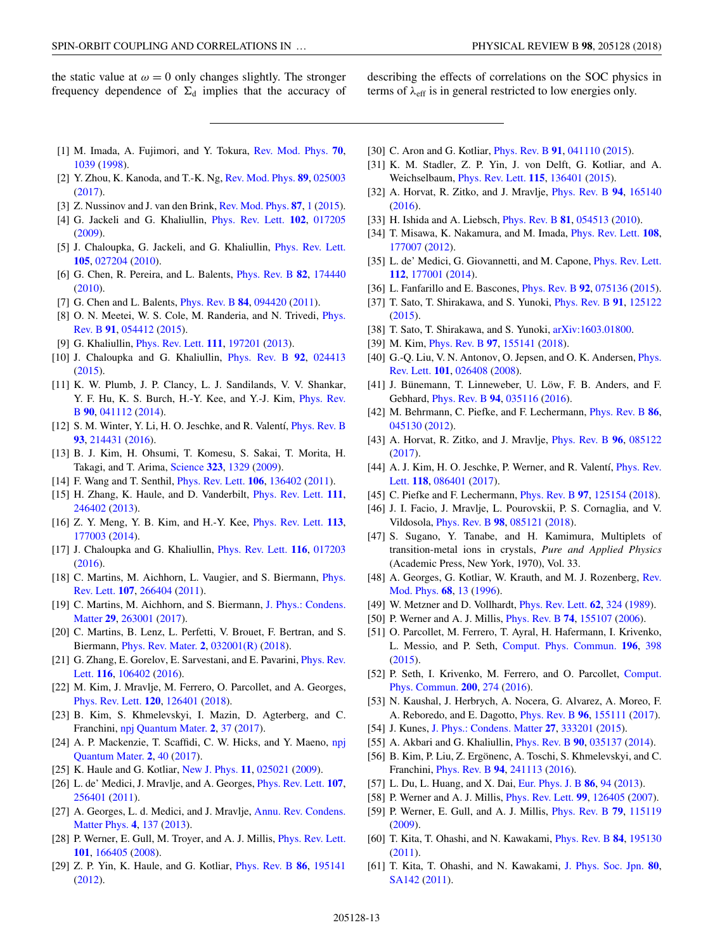<span id="page-12-0"></span>the static value at  $\omega = 0$  only changes slightly. The stronger frequency dependence of  $\Sigma_d$  implies that the accuracy of describing the effects of correlations on the SOC physics in terms of  $\lambda_{\text{eff}}$  is in general restricted to low energies only.

- [1] M. Imada, A. Fujimori, and Y. Tokura, [Rev. Mod. Phys.](https://doi.org/10.1103/RevModPhys.70.1039) **[70](https://doi.org/10.1103/RevModPhys.70.1039)**, [1039](https://doi.org/10.1103/RevModPhys.70.1039) [\(1998\)](https://doi.org/10.1103/RevModPhys.70.1039).
- [2] Y. Zhou, K. Kanoda, and T.-K. Ng, [Rev. Mod. Phys.](https://doi.org/10.1103/RevModPhys.89.025003) **[89](https://doi.org/10.1103/RevModPhys.89.025003)**, [025003](https://doi.org/10.1103/RevModPhys.89.025003) [\(2017\)](https://doi.org/10.1103/RevModPhys.89.025003).
- [3] Z. Nussinov and J. van den Brink, [Rev. Mod. Phys.](https://doi.org/10.1103/RevModPhys.87.1) **[87](https://doi.org/10.1103/RevModPhys.87.1)**, [1](https://doi.org/10.1103/RevModPhys.87.1) [\(2015\)](https://doi.org/10.1103/RevModPhys.87.1).
- [4] G. Jackeli and G. Khaliullin, [Phys. Rev. Lett.](https://doi.org/10.1103/PhysRevLett.102.017205) **[102](https://doi.org/10.1103/PhysRevLett.102.017205)**, [017205](https://doi.org/10.1103/PhysRevLett.102.017205) [\(2009\)](https://doi.org/10.1103/PhysRevLett.102.017205).
- [5] J. Chaloupka, G. Jackeli, and G. Khaliullin, *[Phys. Rev. Lett.](https://doi.org/10.1103/PhysRevLett.105.027204)* **[105](https://doi.org/10.1103/PhysRevLett.105.027204)**, [027204](https://doi.org/10.1103/PhysRevLett.105.027204) [\(2010\)](https://doi.org/10.1103/PhysRevLett.105.027204).
- [6] G. Chen, R. Pereira, and L. Balents, [Phys. Rev. B](https://doi.org/10.1103/PhysRevB.82.174440) **[82](https://doi.org/10.1103/PhysRevB.82.174440)**, [174440](https://doi.org/10.1103/PhysRevB.82.174440) [\(2010\)](https://doi.org/10.1103/PhysRevB.82.174440).
- [7] G. Chen and L. Balents, [Phys. Rev. B](https://doi.org/10.1103/PhysRevB.84.094420) **[84](https://doi.org/10.1103/PhysRevB.84.094420)**, [094420](https://doi.org/10.1103/PhysRevB.84.094420) [\(2011\)](https://doi.org/10.1103/PhysRevB.84.094420).
- [8] [O. N. Meetei, W. S. Cole, M. Randeria, and N. Trivedi,](https://doi.org/10.1103/PhysRevB.91.054412) *Phys.* Rev. B **[91](https://doi.org/10.1103/PhysRevB.91.054412)**, [054412](https://doi.org/10.1103/PhysRevB.91.054412) [\(2015\)](https://doi.org/10.1103/PhysRevB.91.054412).
- [9] G. Khaliullin, [Phys. Rev. Lett.](https://doi.org/10.1103/PhysRevLett.111.197201) **[111](https://doi.org/10.1103/PhysRevLett.111.197201)**, [197201](https://doi.org/10.1103/PhysRevLett.111.197201) [\(2013\)](https://doi.org/10.1103/PhysRevLett.111.197201).
- [10] J. Chaloupka and G. Khaliullin, [Phys. Rev. B](https://doi.org/10.1103/PhysRevB.92.024413) **[92](https://doi.org/10.1103/PhysRevB.92.024413)**, [024413](https://doi.org/10.1103/PhysRevB.92.024413) [\(2015\)](https://doi.org/10.1103/PhysRevB.92.024413).
- [11] K. W. Plumb, J. P. Clancy, L. J. Sandilands, V. V. Shankar, [Y. F. Hu, K. S. Burch, H.-Y. Kee, and Y.-J. Kim,](https://doi.org/10.1103/PhysRevB.90.041112) Phys. Rev. B **[90](https://doi.org/10.1103/PhysRevB.90.041112)**, [041112](https://doi.org/10.1103/PhysRevB.90.041112) [\(2014\)](https://doi.org/10.1103/PhysRevB.90.041112).
- [12] S. M. Winter, Y. Li, H. O. Jeschke, and R. Valentí, [Phys. Rev. B](https://doi.org/10.1103/PhysRevB.93.214431) **[93](https://doi.org/10.1103/PhysRevB.93.214431)**, [214431](https://doi.org/10.1103/PhysRevB.93.214431) [\(2016\)](https://doi.org/10.1103/PhysRevB.93.214431).
- [13] B. J. Kim, H. Ohsumi, T. Komesu, S. Sakai, T. Morita, H. Takagi, and T. Arima, [Science](https://doi.org/10.1126/science.1167106) **[323](https://doi.org/10.1126/science.1167106)**, [1329](https://doi.org/10.1126/science.1167106) [\(2009\)](https://doi.org/10.1126/science.1167106).
- [14] F. Wang and T. Senthil, [Phys. Rev. Lett.](https://doi.org/10.1103/PhysRevLett.106.136402) **[106](https://doi.org/10.1103/PhysRevLett.106.136402)**, [136402](https://doi.org/10.1103/PhysRevLett.106.136402) [\(2011\)](https://doi.org/10.1103/PhysRevLett.106.136402).
- [15] H. Zhang, K. Haule, and D. Vanderbilt, [Phys. Rev. Lett.](https://doi.org/10.1103/PhysRevLett.111.246402) **[111](https://doi.org/10.1103/PhysRevLett.111.246402)**, [246402](https://doi.org/10.1103/PhysRevLett.111.246402) [\(2013\)](https://doi.org/10.1103/PhysRevLett.111.246402).
- [16] Z. Y. Meng, Y. B. Kim, and H.-Y. Kee, [Phys. Rev. Lett.](https://doi.org/10.1103/PhysRevLett.113.177003) **[113](https://doi.org/10.1103/PhysRevLett.113.177003)**, [177003](https://doi.org/10.1103/PhysRevLett.113.177003) [\(2014\)](https://doi.org/10.1103/PhysRevLett.113.177003).
- [17] J. Chaloupka and G. Khaliullin, [Phys. Rev. Lett.](https://doi.org/10.1103/PhysRevLett.116.017203) **[116](https://doi.org/10.1103/PhysRevLett.116.017203)**, [017203](https://doi.org/10.1103/PhysRevLett.116.017203) [\(2016\)](https://doi.org/10.1103/PhysRevLett.116.017203).
- [18] [C. Martins, M. Aichhorn, L. Vaugier, and S. Biermann,](https://doi.org/10.1103/PhysRevLett.107.266404) *Phys.* Rev. Lett. **[107](https://doi.org/10.1103/PhysRevLett.107.266404)**, [266404](https://doi.org/10.1103/PhysRevLett.107.266404) [\(2011\)](https://doi.org/10.1103/PhysRevLett.107.266404).
- [19] [C. Martins, M. Aichhorn, and S. Biermann,](https://doi.org/10.1088/1361-648X/aa648f) J. Phys.: Condens. Matter **[29](https://doi.org/10.1088/1361-648X/aa648f)**, [263001](https://doi.org/10.1088/1361-648X/aa648f) [\(2017\)](https://doi.org/10.1088/1361-648X/aa648f).
- [20] C. Martins, B. Lenz, L. Perfetti, V. Brouet, F. Bertran, and S. Biermann, [Phys. Rev. Mater.](https://doi.org/10.1103/PhysRevMaterials.2.032001) **[2](https://doi.org/10.1103/PhysRevMaterials.2.032001)**, [032001\(R\)](https://doi.org/10.1103/PhysRevMaterials.2.032001) [\(2018\)](https://doi.org/10.1103/PhysRevMaterials.2.032001).
- [21] [G. Zhang, E. Gorelov, E. Sarvestani, and E. Pavarini,](https://doi.org/10.1103/PhysRevLett.116.106402) *Phys. Rev.* Lett. **[116](https://doi.org/10.1103/PhysRevLett.116.106402)**, [106402](https://doi.org/10.1103/PhysRevLett.116.106402) [\(2016\)](https://doi.org/10.1103/PhysRevLett.116.106402).
- [22] M. Kim, J. Mravlje, M. Ferrero, O. Parcollet, and A. Georges, [Phys. Rev. Lett.](https://doi.org/10.1103/PhysRevLett.120.126401) **[120](https://doi.org/10.1103/PhysRevLett.120.126401)**, [126401](https://doi.org/10.1103/PhysRevLett.120.126401) [\(2018\)](https://doi.org/10.1103/PhysRevLett.120.126401).
- [23] B. Kim, S. Khmelevskyi, I. Mazin, D. Agterberg, and C. Franchini, [npj Quantum Mater.](https://doi.org/10.1038/s41535-017-0041-8) **[2](https://doi.org/10.1038/s41535-017-0041-8)**, [37](https://doi.org/10.1038/s41535-017-0041-8) [\(2017\)](https://doi.org/10.1038/s41535-017-0041-8).
- [24] [A. P. Mackenzie, T. Scaffidi, C. W. Hicks, and Y. Maeno,](https://doi.org/10.1038/s41535-017-0045-4) npj Quantum Mater. **[2](https://doi.org/10.1038/s41535-017-0045-4)**, [40](https://doi.org/10.1038/s41535-017-0045-4) [\(2017\)](https://doi.org/10.1038/s41535-017-0045-4).
- [25] K. Haule and G. Kotliar, [New J. Phys.](https://doi.org/10.1088/1367-2630/11/2/025021) **[11](https://doi.org/10.1088/1367-2630/11/2/025021)**, [025021](https://doi.org/10.1088/1367-2630/11/2/025021) [\(2009\)](https://doi.org/10.1088/1367-2630/11/2/025021).
- [26] L. de' Medici, J. Mravlje, and A. Georges, [Phys. Rev. Lett.](https://doi.org/10.1103/PhysRevLett.107.256401) **[107](https://doi.org/10.1103/PhysRevLett.107.256401)**, [256401](https://doi.org/10.1103/PhysRevLett.107.256401) [\(2011\)](https://doi.org/10.1103/PhysRevLett.107.256401).
- [27] [A. Georges, L. d. Medici, and J. Mravlje,](https://doi.org/10.1146/annurev-conmatphys-020911-125045) Annu. Rev. Condens. Matter Phys. **[4](https://doi.org/10.1146/annurev-conmatphys-020911-125045)**, [137](https://doi.org/10.1146/annurev-conmatphys-020911-125045) [\(2013\)](https://doi.org/10.1146/annurev-conmatphys-020911-125045).
- [28] P. Werner, E. Gull, M. Troyer, and A. J. Millis, [Phys. Rev. Lett.](https://doi.org/10.1103/PhysRevLett.101.166405) **[101](https://doi.org/10.1103/PhysRevLett.101.166405)**, [166405](https://doi.org/10.1103/PhysRevLett.101.166405) [\(2008\)](https://doi.org/10.1103/PhysRevLett.101.166405).
- [29] Z. P. Yin, K. Haule, and G. Kotliar, [Phys. Rev. B](https://doi.org/10.1103/PhysRevB.86.195141) **[86](https://doi.org/10.1103/PhysRevB.86.195141)**, [195141](https://doi.org/10.1103/PhysRevB.86.195141) [\(2012\)](https://doi.org/10.1103/PhysRevB.86.195141).
- [30] C. Aron and G. Kotliar, [Phys. Rev. B](https://doi.org/10.1103/PhysRevB.91.041110) **[91](https://doi.org/10.1103/PhysRevB.91.041110)**, [041110](https://doi.org/10.1103/PhysRevB.91.041110) [\(2015\)](https://doi.org/10.1103/PhysRevB.91.041110).
- [31] K. M. Stadler, Z. P. Yin, J. von Delft, G. Kotliar, and A. Weichselbaum, [Phys. Rev. Lett.](https://doi.org/10.1103/PhysRevLett.115.136401) **[115](https://doi.org/10.1103/PhysRevLett.115.136401)**, [136401](https://doi.org/10.1103/PhysRevLett.115.136401) [\(2015\)](https://doi.org/10.1103/PhysRevLett.115.136401).
- [32] A. Horvat, R. Zitko, and J. Mravlje, [Phys. Rev. B](https://doi.org/10.1103/PhysRevB.94.165140) **[94](https://doi.org/10.1103/PhysRevB.94.165140)**, [165140](https://doi.org/10.1103/PhysRevB.94.165140) [\(2016\)](https://doi.org/10.1103/PhysRevB.94.165140).
- [33] H. Ishida and A. Liebsch, [Phys. Rev. B](https://doi.org/10.1103/PhysRevB.81.054513) **[81](https://doi.org/10.1103/PhysRevB.81.054513)**, [054513](https://doi.org/10.1103/PhysRevB.81.054513) [\(2010\)](https://doi.org/10.1103/PhysRevB.81.054513).
- [34] T. Misawa, K. Nakamura, and M. Imada, [Phys. Rev. Lett.](https://doi.org/10.1103/PhysRevLett.108.177007) **[108](https://doi.org/10.1103/PhysRevLett.108.177007)**, [177007](https://doi.org/10.1103/PhysRevLett.108.177007) [\(2012\)](https://doi.org/10.1103/PhysRevLett.108.177007).
- [35] L. de' Medici, G. Giovannetti, and M. Capone, *[Phys. Rev. Lett.](https://doi.org/10.1103/PhysRevLett.112.177001)* **[112](https://doi.org/10.1103/PhysRevLett.112.177001)**, [177001](https://doi.org/10.1103/PhysRevLett.112.177001) [\(2014\)](https://doi.org/10.1103/PhysRevLett.112.177001).
- [36] L. Fanfarillo and E. Bascones, [Phys. Rev. B](https://doi.org/10.1103/PhysRevB.92.075136) **[92](https://doi.org/10.1103/PhysRevB.92.075136)**, [075136](https://doi.org/10.1103/PhysRevB.92.075136) [\(2015\)](https://doi.org/10.1103/PhysRevB.92.075136).
- [37] T. Sato, T. Shirakawa, and S. Yunoki, [Phys. Rev. B](https://doi.org/10.1103/PhysRevB.91.125122) **[91](https://doi.org/10.1103/PhysRevB.91.125122)**, [125122](https://doi.org/10.1103/PhysRevB.91.125122) [\(2015\)](https://doi.org/10.1103/PhysRevB.91.125122).
- [38] T. Sato, T. Shirakawa, and S. Yunoki, [arXiv:1603.01800.](http://arxiv.org/abs/arXiv:1603.01800)
- [39] M. Kim, [Phys. Rev. B](https://doi.org/10.1103/PhysRevB.97.155141) **[97](https://doi.org/10.1103/PhysRevB.97.155141)**, [155141](https://doi.org/10.1103/PhysRevB.97.155141) [\(2018\)](https://doi.org/10.1103/PhysRevB.97.155141).
- [40] [G.-Q. Liu, V. N. Antonov, O. Jepsen, and O. K. Andersen,](https://doi.org/10.1103/PhysRevLett.101.026408) *Phys.* Rev. Lett. **[101](https://doi.org/10.1103/PhysRevLett.101.026408)**, [026408](https://doi.org/10.1103/PhysRevLett.101.026408) [\(2008\)](https://doi.org/10.1103/PhysRevLett.101.026408).
- [41] J. Bünemann, T. Linneweber, U. Löw, F. B. Anders, and F. Gebhard, [Phys. Rev. B](https://doi.org/10.1103/PhysRevB.94.035116) **[94](https://doi.org/10.1103/PhysRevB.94.035116)**, [035116](https://doi.org/10.1103/PhysRevB.94.035116) [\(2016\)](https://doi.org/10.1103/PhysRevB.94.035116).
- [42] M. Behrmann, C. Piefke, and F. Lechermann, [Phys. Rev. B](https://doi.org/10.1103/PhysRevB.86.045130) **[86](https://doi.org/10.1103/PhysRevB.86.045130)**, [045130](https://doi.org/10.1103/PhysRevB.86.045130) [\(2012\)](https://doi.org/10.1103/PhysRevB.86.045130).
- [43] A. Horvat, R. Zitko, and J. Mravlje, [Phys. Rev. B](https://doi.org/10.1103/PhysRevB.96.085122) **[96](https://doi.org/10.1103/PhysRevB.96.085122)**, [085122](https://doi.org/10.1103/PhysRevB.96.085122) [\(2017\)](https://doi.org/10.1103/PhysRevB.96.085122).
- [44] [A. J. Kim, H. O. Jeschke, P. Werner, and R. Valentí,](https://doi.org/10.1103/PhysRevLett.118.086401) *Phys. Rev.* Lett. **[118](https://doi.org/10.1103/PhysRevLett.118.086401)**, [086401](https://doi.org/10.1103/PhysRevLett.118.086401) [\(2017\)](https://doi.org/10.1103/PhysRevLett.118.086401).
- [45] C. Piefke and F. Lechermann, [Phys. Rev. B](https://doi.org/10.1103/PhysRevB.97.125154) **[97](https://doi.org/10.1103/PhysRevB.97.125154)**, [125154](https://doi.org/10.1103/PhysRevB.97.125154) [\(2018\)](https://doi.org/10.1103/PhysRevB.97.125154).
- [46] J. I. Facio, J. Mravlje, L. Pourovskii, P. S. Cornaglia, and V. Vildosola, [Phys. Rev. B](https://doi.org/10.1103/PhysRevB.98.085121) **[98](https://doi.org/10.1103/PhysRevB.98.085121)**, [085121](https://doi.org/10.1103/PhysRevB.98.085121) [\(2018\)](https://doi.org/10.1103/PhysRevB.98.085121).
- [47] S. Sugano, Y. Tanabe, and H. Kamimura, Multiplets of transition-metal ions in crystals, *Pure and Applied Physics* (Academic Press, New York, 1970), Vol. 33.
- [48] [A. Georges, G. Kotliar, W. Krauth, and M. J. Rozenberg,](https://doi.org/10.1103/RevModPhys.68.13) Rev. Mod. Phys. **[68](https://doi.org/10.1103/RevModPhys.68.13)**, [13](https://doi.org/10.1103/RevModPhys.68.13) [\(1996\)](https://doi.org/10.1103/RevModPhys.68.13).
- [49] W. Metzner and D. Vollhardt, [Phys. Rev. Lett.](https://doi.org/10.1103/PhysRevLett.62.324) **[62](https://doi.org/10.1103/PhysRevLett.62.324)**, [324](https://doi.org/10.1103/PhysRevLett.62.324) [\(1989\)](https://doi.org/10.1103/PhysRevLett.62.324).
- [50] P. Werner and A. J. Millis, [Phys. Rev. B](https://doi.org/10.1103/PhysRevB.74.155107) **[74](https://doi.org/10.1103/PhysRevB.74.155107)**, [155107](https://doi.org/10.1103/PhysRevB.74.155107) [\(2006\)](https://doi.org/10.1103/PhysRevB.74.155107).
- [51] O. Parcollet, M. Ferrero, T. Ayral, H. Hafermann, I. Krivenko, L. Messio, and P. Seth, [Comput. Phys. Commun.](https://doi.org/10.1016/j.cpc.2015.04.023) **[196](https://doi.org/10.1016/j.cpc.2015.04.023)**, [398](https://doi.org/10.1016/j.cpc.2015.04.023) [\(2015\)](https://doi.org/10.1016/j.cpc.2015.04.023).
- [52] [P. Seth, I. Krivenko, M. Ferrero, and O. Parcollet,](https://doi.org/10.1016/j.cpc.2015.10.023) Comput. Phys. Commun. **[200](https://doi.org/10.1016/j.cpc.2015.10.023)**, [274](https://doi.org/10.1016/j.cpc.2015.10.023) [\(2016\)](https://doi.org/10.1016/j.cpc.2015.10.023).
- [53] N. Kaushal, J. Herbrych, A. Nocera, G. Alvarez, A. Moreo, F. A. Reboredo, and E. Dagotto, [Phys. Rev. B](https://doi.org/10.1103/PhysRevB.96.155111) **[96](https://doi.org/10.1103/PhysRevB.96.155111)**, [155111](https://doi.org/10.1103/PhysRevB.96.155111) [\(2017\)](https://doi.org/10.1103/PhysRevB.96.155111).
- [54] J. Kunes, [J. Phys.: Condens. Matter](https://doi.org/10.1088/0953-8984/27/33/333201) **[27](https://doi.org/10.1088/0953-8984/27/33/333201)**, [333201](https://doi.org/10.1088/0953-8984/27/33/333201) [\(2015\)](https://doi.org/10.1088/0953-8984/27/33/333201).
- [55] A. Akbari and G. Khaliullin, [Phys. Rev. B](https://doi.org/10.1103/PhysRevB.90.035137) **[90](https://doi.org/10.1103/PhysRevB.90.035137)**, [035137](https://doi.org/10.1103/PhysRevB.90.035137) [\(2014\)](https://doi.org/10.1103/PhysRevB.90.035137).
- [56] B. Kim, P. Liu, Z. Ergönenc, A. Toschi, S. Khmelevskyi, and C. Franchini, [Phys. Rev. B](https://doi.org/10.1103/PhysRevB.94.241113) **[94](https://doi.org/10.1103/PhysRevB.94.241113)**, [241113](https://doi.org/10.1103/PhysRevB.94.241113) [\(2016\)](https://doi.org/10.1103/PhysRevB.94.241113).
- [57] L. Du, L. Huang, and X. Dai, [Eur. Phys. J. B](https://doi.org/10.1140/epjb/e2013-31024-6) **[86](https://doi.org/10.1140/epjb/e2013-31024-6)**, [94](https://doi.org/10.1140/epjb/e2013-31024-6) [\(2013\)](https://doi.org/10.1140/epjb/e2013-31024-6).
- [58] P. Werner and A. J. Millis, [Phys. Rev. Lett.](https://doi.org/10.1103/PhysRevLett.99.126405) **[99](https://doi.org/10.1103/PhysRevLett.99.126405)**, [126405](https://doi.org/10.1103/PhysRevLett.99.126405) [\(2007\)](https://doi.org/10.1103/PhysRevLett.99.126405).
- [59] P. Werner, E. Gull, and A. J. Millis, [Phys. Rev. B](https://doi.org/10.1103/PhysRevB.79.115119) **[79](https://doi.org/10.1103/PhysRevB.79.115119)**, [115119](https://doi.org/10.1103/PhysRevB.79.115119) [\(2009\)](https://doi.org/10.1103/PhysRevB.79.115119).
- [60] T. Kita, T. Ohashi, and N. Kawakami, [Phys. Rev. B](https://doi.org/10.1103/PhysRevB.84.195130) **[84](https://doi.org/10.1103/PhysRevB.84.195130)**, [195130](https://doi.org/10.1103/PhysRevB.84.195130) [\(2011\)](https://doi.org/10.1103/PhysRevB.84.195130).
- [61] T. Kita, T. Ohashi, and N. Kawakami, [J. Phys. Soc. Jpn.](https://doi.org/10.1143/JPSJS.80SA.SA142) **[80](https://doi.org/10.1143/JPSJS.80SA.SA142)**, [SA142](https://doi.org/10.1143/JPSJS.80SA.SA142) [\(2011\)](https://doi.org/10.1143/JPSJS.80SA.SA142).